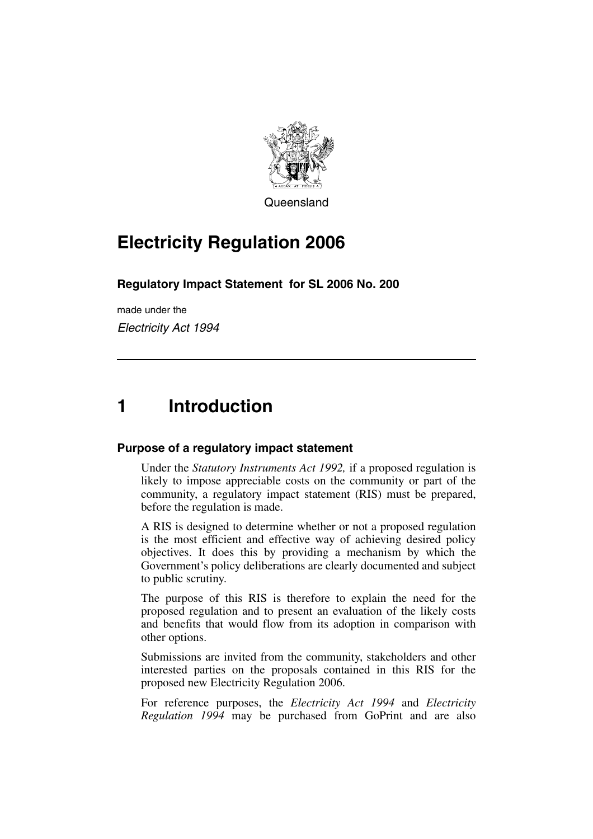

**Queensland** 

# **Electricity Regulation 2006**

#### **Regulatory Impact Statement for SL 2006 No. 200**

made under the *Electricity Act 1994*

# **1 Introduction**

#### **Purpose of a regulatory impact statement**

Under the *Statutory Instruments Act 1992,* if a proposed regulation is likely to impose appreciable costs on the community or part of the community, a regulatory impact statement (RIS) must be prepared, before the regulation is made.

A RIS is designed to determine whether or not a proposed regulation is the most efficient and effective way of achieving desired policy objectives. It does this by providing a mechanism by which the Government's policy deliberations are clearly documented and subject to public scrutiny.

The purpose of this RIS is therefore to explain the need for the proposed regulation and to present an evaluation of the likely costs and benefits that would flow from its adoption in comparison with other options.

Submissions are invited from the community, stakeholders and other interested parties on the proposals contained in this RIS for the proposed new Electricity Regulation 2006.

For reference purposes, the *Electricity Act 1994* and *Electricity Regulation 1994* may be purchased from GoPrint and are also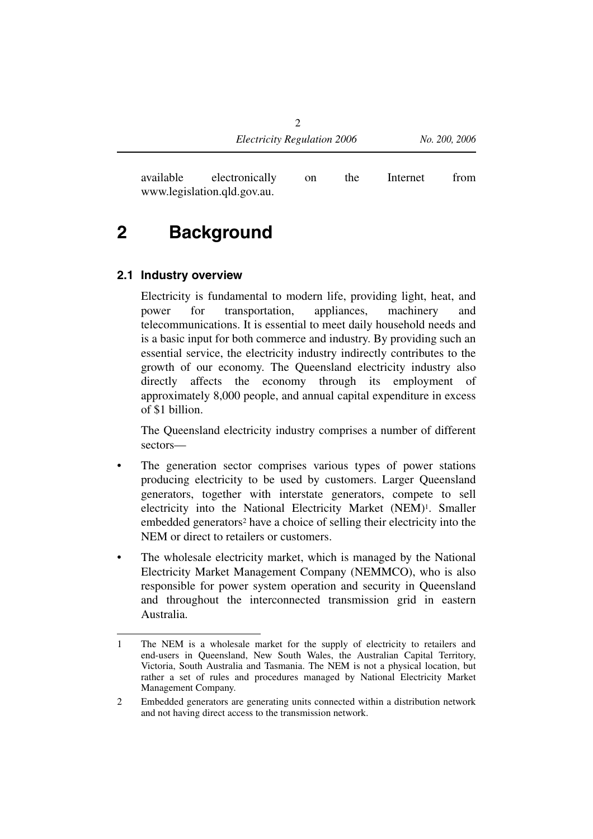available electronically on the Internet from www.legislation.qld.gov.au.

# **2 Background**

#### **2.1 Industry overview**

Electricity is fundamental to modern life, providing light, heat, and power for transportation, appliances, machinery and telecommunications. It is essential to meet daily household needs and is a basic input for both commerce and industry. By providing such an essential service, the electricity industry indirectly contributes to the growth of our economy. The Queensland electricity industry also directly affects the economy through its employment of approximately 8,000 people, and annual capital expenditure in excess of \$1 billion.

The Queensland electricity industry comprises a number of different sectors—

- The generation sector comprises various types of power stations producing electricity to be used by customers. Larger Queensland generators, together with interstate generators, compete to sell electricity into the National Electricity Market (NEM)1. Smaller embedded generators2 have a choice of selling their electricity into the NEM or direct to retailers or customers.
- The wholesale electricity market, which is managed by the National Electricity Market Management Company (NEMMCO), who is also responsible for power system operation and security in Queensland and throughout the interconnected transmission grid in eastern Australia.

<sup>1</sup> The NEM is a wholesale market for the supply of electricity to retailers and end-users in Queensland, New South Wales, the Australian Capital Territory, Victoria, South Australia and Tasmania. The NEM is not a physical location, but rather a set of rules and procedures managed by National Electricity Market Management Company.

<sup>2</sup> Embedded generators are generating units connected within a distribution network and not having direct access to the transmission network.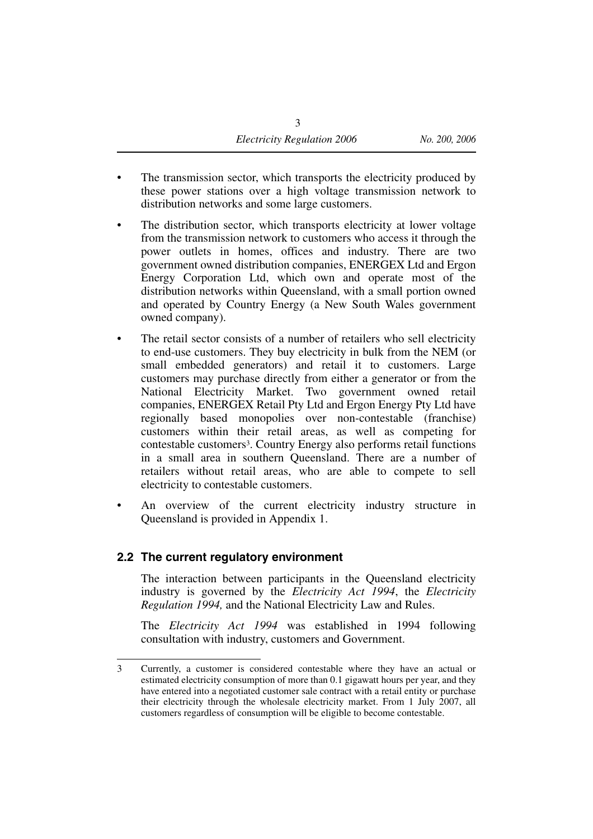- The transmission sector, which transports the electricity produced by these power stations over a high voltage transmission network to distribution networks and some large customers.
- The distribution sector, which transports electricity at lower voltage from the transmission network to customers who access it through the power outlets in homes, offices and industry. There are two government owned distribution companies, ENERGEX Ltd and Ergon Energy Corporation Ltd, which own and operate most of the distribution networks within Queensland, with a small portion owned and operated by Country Energy (a New South Wales government owned company).
- The retail sector consists of a number of retailers who sell electricity to end-use customers. They buy electricity in bulk from the NEM (or small embedded generators) and retail it to customers. Large customers may purchase directly from either a generator or from the National Electricity Market. Two government owned retail companies, ENERGEX Retail Pty Ltd and Ergon Energy Pty Ltd have regionally based monopolies over non-contestable (franchise) customers within their retail areas, as well as competing for contestable customers3. Country Energy also performs retail functions in a small area in southern Queensland. There are a number of retailers without retail areas, who are able to compete to sell electricity to contestable customers.
- An overview of the current electricity industry structure in Queensland is provided in Appendix 1.

#### **2.2 The current regulatory environment**

The interaction between participants in the Queensland electricity industry is governed by the *Electricity Act 1994*, the *Electricity Regulation 1994,* and the National Electricity Law and Rules.

The *Electricity Act 1994* was established in 1994 following consultation with industry, customers and Government.

<sup>3</sup> Currently, a customer is considered contestable where they have an actual or estimated electricity consumption of more than 0.1 gigawatt hours per year, and they have entered into a negotiated customer sale contract with a retail entity or purchase their electricity through the wholesale electricity market. From 1 July 2007, all customers regardless of consumption will be eligible to become contestable.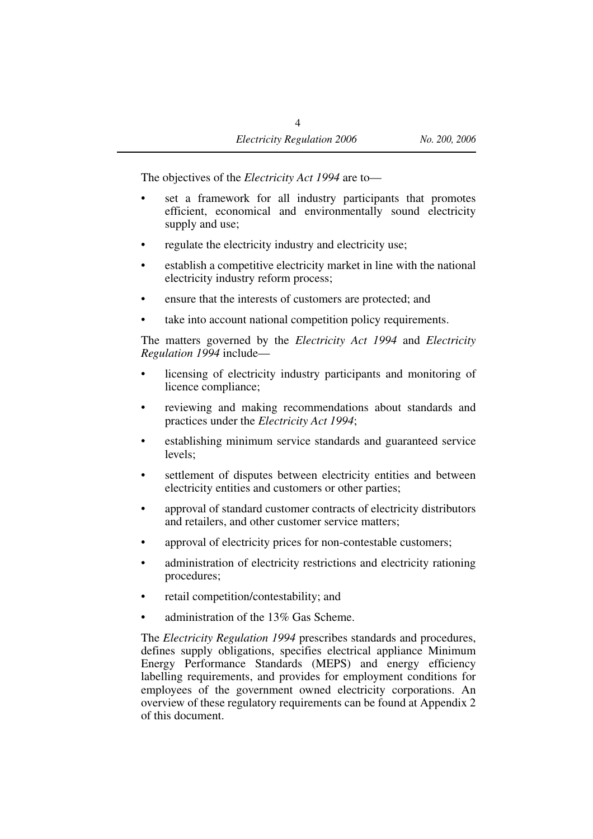The objectives of the *Electricity Act 1994* are to—

- set a framework for all industry participants that promotes efficient, economical and environmentally sound electricity supply and use;
- regulate the electricity industry and electricity use;
- establish a competitive electricity market in line with the national electricity industry reform process;
- ensure that the interests of customers are protected; and
- take into account national competition policy requirements.

The matters governed by the *Electricity Act 1994* and *Electricity Regulation 1994* include—

- licensing of electricity industry participants and monitoring of licence compliance;
- reviewing and making recommendations about standards and practices under the *Electricity Act 1994*;
- establishing minimum service standards and guaranteed service levels;
- settlement of disputes between electricity entities and between electricity entities and customers or other parties;
- approval of standard customer contracts of electricity distributors and retailers, and other customer service matters;
- approval of electricity prices for non-contestable customers;
- administration of electricity restrictions and electricity rationing procedures;
- retail competition/contestability; and
- administration of the 13% Gas Scheme.

The *Electricity Regulation 1994* prescribes standards and procedures, defines supply obligations, specifies electrical appliance Minimum Energy Performance Standards (MEPS) and energy efficiency labelling requirements, and provides for employment conditions for employees of the government owned electricity corporations. An overview of these regulatory requirements can be found at Appendix 2 of this document.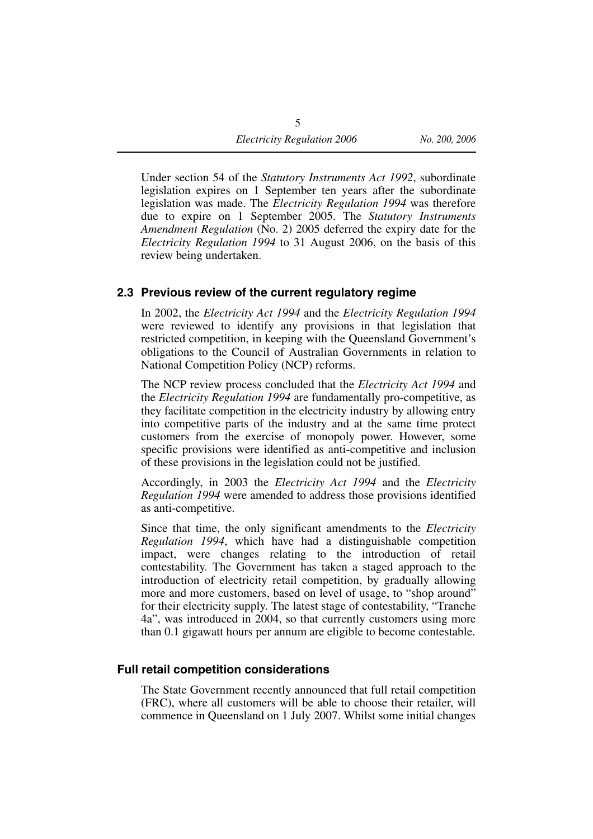Under section 54 of the *Statutory Instruments Act 1992*, subordinate legislation expires on 1 September ten years after the subordinate legislation was made. The *Electricity Regulation 1994* was therefore due to expire on 1 September 2005. The *Statutory Instruments Amendment Regulation* (No. 2) 2005 deferred the expiry date for the *Electricity Regulation 1994* to 31 August 2006, on the basis of this review being undertaken.

#### **2.3 Previous review of the current regulatory regime**

In 2002, the *Electricity Act 1994* and the *Electricity Regulation 1994* were reviewed to identify any provisions in that legislation that restricted competition, in keeping with the Queensland Government's obligations to the Council of Australian Governments in relation to National Competition Policy (NCP) reforms.

The NCP review process concluded that the *Electricity Act 1994* and the *Electricity Regulation 1994* are fundamentally pro-competitive, as they facilitate competition in the electricity industry by allowing entry into competitive parts of the industry and at the same time protect customers from the exercise of monopoly power. However, some specific provisions were identified as anti-competitive and inclusion of these provisions in the legislation could not be justified.

Accordingly, in 2003 the *Electricity Act 1994* and the *Electricity Regulation 1994* were amended to address those provisions identified as anti-competitive.

Since that time, the only significant amendments to the *Electricity Regulation 1994*, which have had a distinguishable competition impact, were changes relating to the introduction of retail contestability. The Government has taken a staged approach to the introduction of electricity retail competition, by gradually allowing more and more customers, based on level of usage, to "shop around" for their electricity supply. The latest stage of contestability, "Tranche 4a", was introduced in 2004, so that currently customers using more than 0.1 gigawatt hours per annum are eligible to become contestable.

#### **Full retail competition considerations**

The State Government recently announced that full retail competition (FRC), where all customers will be able to choose their retailer, will commence in Queensland on 1 July 2007. Whilst some initial changes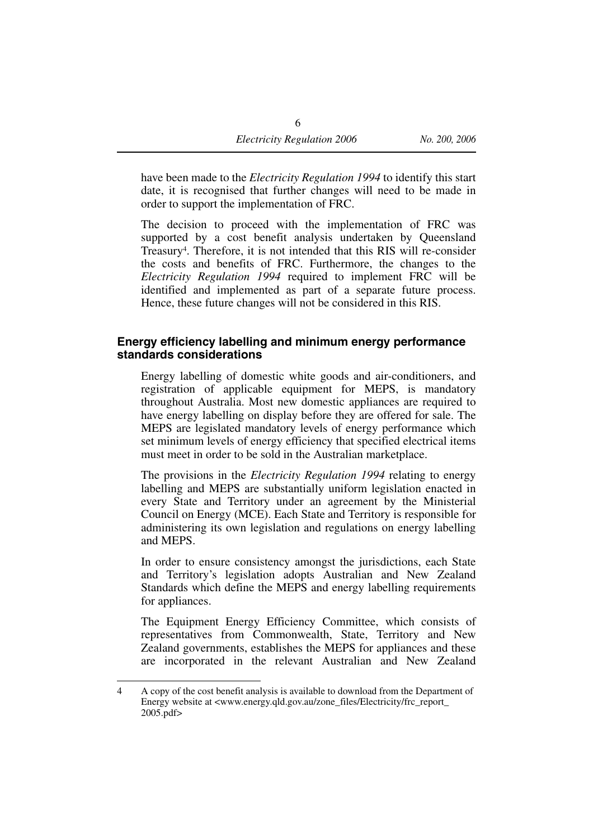have been made to the *Electricity Regulation 1994* to identify this start date, it is recognised that further changes will need to be made in order to support the implementation of FRC.

The decision to proceed with the implementation of FRC was supported by a cost benefit analysis undertaken by Queensland Treasury4. Therefore, it is not intended that this RIS will re-consider the costs and benefits of FRC. Furthermore, the changes to the *Electricity Regulation 1994* required to implement FRC will be identified and implemented as part of a separate future process. Hence, these future changes will not be considered in this RIS.

#### **Energy efficiency labelling and minimum energy performance standards considerations**

Energy labelling of domestic white goods and air-conditioners, and registration of applicable equipment for MEPS, is mandatory throughout Australia. Most new domestic appliances are required to have energy labelling on display before they are offered for sale. The MEPS are legislated mandatory levels of energy performance which set minimum levels of energy efficiency that specified electrical items must meet in order to be sold in the Australian marketplace.

The provisions in the *Electricity Regulation 1994* relating to energy labelling and MEPS are substantially uniform legislation enacted in every State and Territory under an agreement by the Ministerial Council on Energy (MCE). Each State and Territory is responsible for administering its own legislation and regulations on energy labelling and MEPS.

In order to ensure consistency amongst the jurisdictions, each State and Territory's legislation adopts Australian and New Zealand Standards which define the MEPS and energy labelling requirements for appliances.

The Equipment Energy Efficiency Committee, which consists of representatives from Commonwealth, State, Territory and New Zealand governments, establishes the MEPS for appliances and these are incorporated in the relevant Australian and New Zealand

<sup>4</sup> A copy of the cost benefit analysis is available to download from the Department of Energy website at <www.energy.qld.gov.au/zone\_files/Electricity/frc\_report\_ 2005.pdf>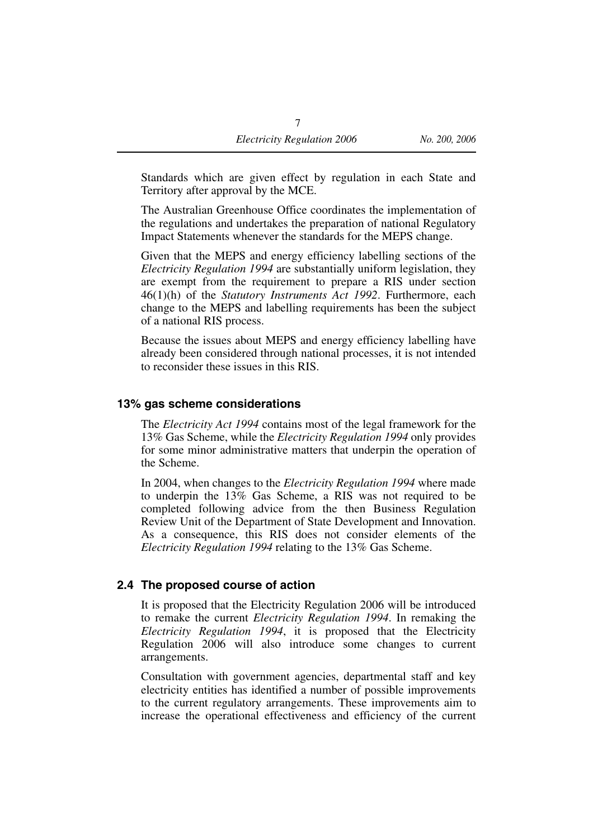Standards which are given effect by regulation in each State and Territory after approval by the MCE.

The Australian Greenhouse Office coordinates the implementation of the regulations and undertakes the preparation of national Regulatory Impact Statements whenever the standards for the MEPS change.

Given that the MEPS and energy efficiency labelling sections of the *Electricity Regulation 1994* are substantially uniform legislation, they are exempt from the requirement to prepare a RIS under section 46(1)(h) of the *Statutory Instruments Act 1992*. Furthermore, each change to the MEPS and labelling requirements has been the subject of a national RIS process.

Because the issues about MEPS and energy efficiency labelling have already been considered through national processes, it is not intended to reconsider these issues in this RIS.

#### **13% gas scheme considerations**

The *Electricity Act 1994* contains most of the legal framework for the 13% Gas Scheme, while the *Electricity Regulation 1994* only provides for some minor administrative matters that underpin the operation of the Scheme.

In 2004, when changes to the *Electricity Regulation 1994* where made to underpin the 13% Gas Scheme, a RIS was not required to be completed following advice from the then Business Regulation Review Unit of the Department of State Development and Innovation. As a consequence, this RIS does not consider elements of the *Electricity Regulation 1994* relating to the 13% Gas Scheme.

#### **2.4 The proposed course of action**

It is proposed that the Electricity Regulation 2006 will be introduced to remake the current *Electricity Regulation 1994*. In remaking the *Electricity Regulation 1994*, it is proposed that the Electricity Regulation 2006 will also introduce some changes to current arrangements.

Consultation with government agencies, departmental staff and key electricity entities has identified a number of possible improvements to the current regulatory arrangements. These improvements aim to increase the operational effectiveness and efficiency of the current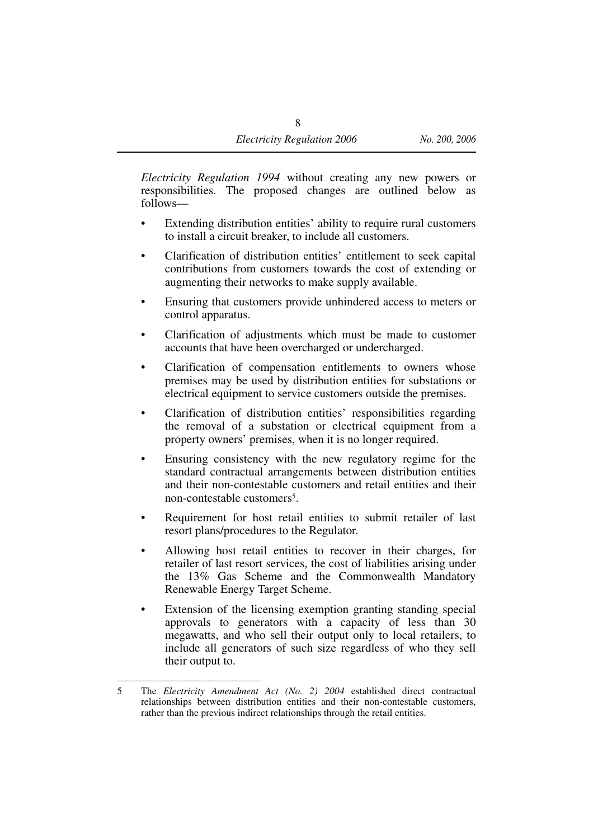*Electricity Regulation 1994* without creating any new powers or responsibilities. The proposed changes are outlined below as follows—

- Extending distribution entities' ability to require rural customers to install a circuit breaker, to include all customers.
- Clarification of distribution entities' entitlement to seek capital contributions from customers towards the cost of extending or augmenting their networks to make supply available.
- Ensuring that customers provide unhindered access to meters or control apparatus.
- Clarification of adjustments which must be made to customer accounts that have been overcharged or undercharged.
- Clarification of compensation entitlements to owners whose premises may be used by distribution entities for substations or electrical equipment to service customers outside the premises.
- Clarification of distribution entities' responsibilities regarding the removal of a substation or electrical equipment from a property owners' premises, when it is no longer required.
- Ensuring consistency with the new regulatory regime for the standard contractual arrangements between distribution entities and their non-contestable customers and retail entities and their non-contestable customers<sup>5</sup>.
- Requirement for host retail entities to submit retailer of last resort plans/procedures to the Regulator.
- Allowing host retail entities to recover in their charges, for retailer of last resort services, the cost of liabilities arising under the 13% Gas Scheme and the Commonwealth Mandatory Renewable Energy Target Scheme.
- Extension of the licensing exemption granting standing special approvals to generators with a capacity of less than 30 megawatts, and who sell their output only to local retailers, to include all generators of such size regardless of who they sell their output to.

<sup>5</sup> The *Electricity Amendment Act (No. 2) 2004* established direct contractual relationships between distribution entities and their non-contestable customers, rather than the previous indirect relationships through the retail entities.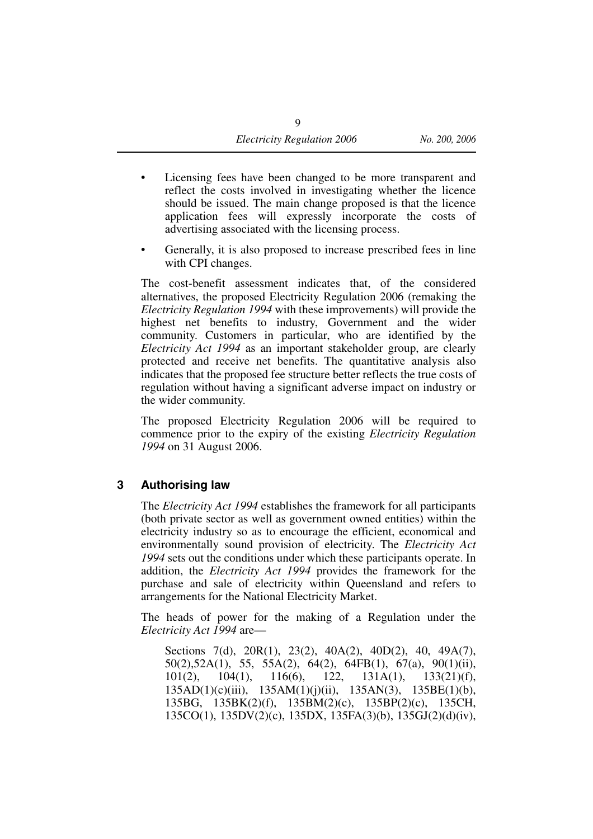- Licensing fees have been changed to be more transparent and reflect the costs involved in investigating whether the licence should be issued. The main change proposed is that the licence application fees will expressly incorporate the costs of advertising associated with the licensing process.
- Generally, it is also proposed to increase prescribed fees in line with CPI changes.

The cost-benefit assessment indicates that, of the considered alternatives, the proposed Electricity Regulation 2006 (remaking the *Electricity Regulation 1994* with these improvements) will provide the highest net benefits to industry, Government and the wider community. Customers in particular, who are identified by the *Electricity Act 1994* as an important stakeholder group, are clearly protected and receive net benefits. The quantitative analysis also indicates that the proposed fee structure better reflects the true costs of regulation without having a significant adverse impact on industry or the wider community.

The proposed Electricity Regulation 2006 will be required to commence prior to the expiry of the existing *Electricity Regulation 1994* on 31 August 2006.

#### **3 Authorising law**

The *Electricity Act 1994* establishes the framework for all participants (both private sector as well as government owned entities) within the electricity industry so as to encourage the efficient, economical and environmentally sound provision of electricity. The *Electricity Act 1994* sets out the conditions under which these participants operate. In addition, the *Electricity Act 1994* provides the framework for the purchase and sale of electricity within Queensland and refers to arrangements for the National Electricity Market.

The heads of power for the making of a Regulation under the *Electricity Act 1994* are—

Sections 7(d), 20R(1), 23(2), 40A(2), 40D(2), 40, 49A(7), 50(2),52A(1), 55, 55A(2), 64(2), 64FB(1), 67(a), 90(1)(ii),  $101(2)$ ,  $104(1)$ ,  $116(6)$ ,  $122$ ,  $131A(1)$ ,  $133(21)(f)$ , 135AD(1)(c)(iii), 135AM(1)(j)(ii), 135AN(3), 135BE(1)(b), 135BG, 135BK(2)(f), 135BM(2)(c), 135BP(2)(c), 135CH, 135CO(1), 135DV(2)(c), 135DX, 135FA(3)(b), 135GJ(2)(d)(iv),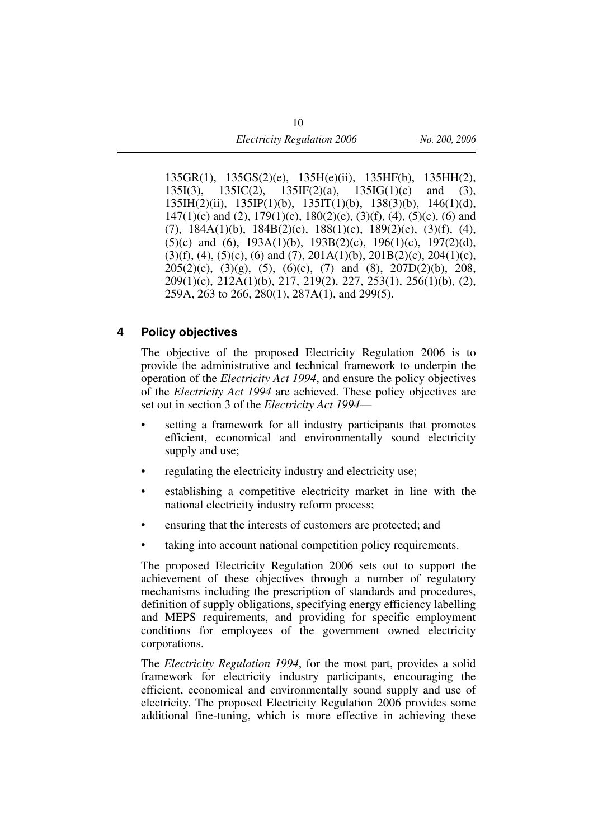135GR(1), 135GS(2)(e), 135H(e)(ii), 135HF(b), 135HH(2),  $135I(3)$ ,  $135IC(2)$ ,  $135IF(2)(a)$ ,  $135IG(1)(c)$  and (3), 135IH(2)(ii), 135IP(1)(b), 135IT(1)(b), 138(3)(b), 146(1)(d),  $147(1)(c)$  and (2),  $179(1)(c)$ ,  $180(2)(e)$ ,  $(3)(f)$ ,  $(4)$ ,  $(5)(c)$ ,  $(6)$  and (7), 184A(1)(b), 184B(2)(c), 188(1)(c), 189(2)(e), (3)(f), (4), (5)(c) and (6),  $193A(1)(b)$ ,  $193B(2)(c)$ ,  $196(1)(c)$ ,  $197(2)(d)$ ,  $(3)(f)$ ,  $(4)$ ,  $(5)(c)$ ,  $(6)$  and  $(7)$ ,  $201A(1)(b)$ ,  $201B(2)(c)$ ,  $204(1)(c)$ ,  $205(2)(c)$ ,  $(3)(g)$ ,  $(5)$ ,  $(6)(c)$ ,  $(7)$  and  $(8)$ ,  $207D(2)(b)$ ,  $208$ ,  $209(1)(c)$ ,  $212A(1)(b)$ ,  $217$ ,  $219(2)$ ,  $227$ ,  $253(1)$ ,  $256(1)(b)$ ,  $(2)$ , 259A, 263 to 266, 280(1), 287A(1), and 299(5).

#### **4 Policy objectives**

The objective of the proposed Electricity Regulation 2006 is to provide the administrative and technical framework to underpin the operation of the *Electricity Act 1994*, and ensure the policy objectives of the *Electricity Act 1994* are achieved. These policy objectives are set out in section 3 of the *Electricity Act 1994*—

- setting a framework for all industry participants that promotes efficient, economical and environmentally sound electricity supply and use;
- regulating the electricity industry and electricity use;
- establishing a competitive electricity market in line with the national electricity industry reform process;
- ensuring that the interests of customers are protected; and
- taking into account national competition policy requirements.

The proposed Electricity Regulation 2006 sets out to support the achievement of these objectives through a number of regulatory mechanisms including the prescription of standards and procedures, definition of supply obligations, specifying energy efficiency labelling and MEPS requirements, and providing for specific employment conditions for employees of the government owned electricity corporations.

The *Electricity Regulation 1994*, for the most part, provides a solid framework for electricity industry participants, encouraging the efficient, economical and environmentally sound supply and use of electricity. The proposed Electricity Regulation 2006 provides some additional fine-tuning, which is more effective in achieving these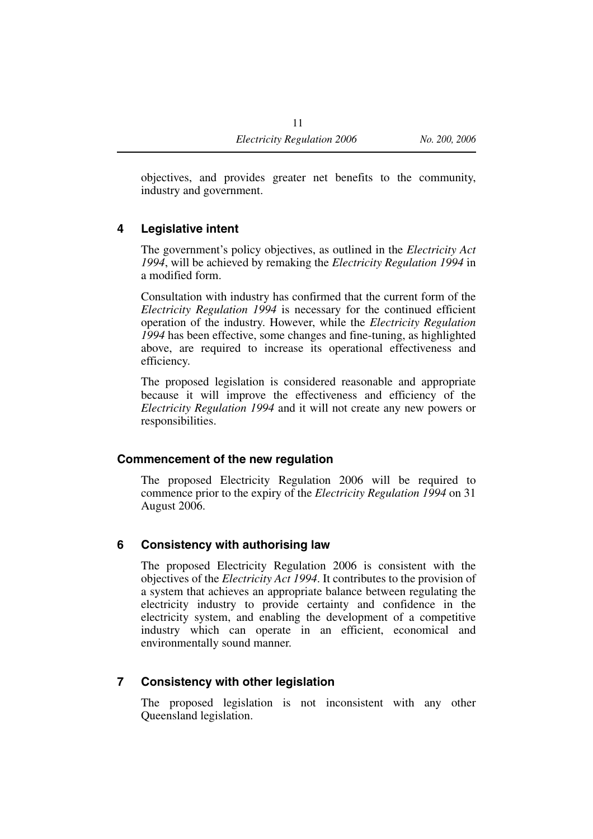objectives, and provides greater net benefits to the community, industry and government.

#### **4 Legislative intent**

The government's policy objectives, as outlined in the *Electricity Act 1994*, will be achieved by remaking the *Electricity Regulation 1994* in a modified form.

Consultation with industry has confirmed that the current form of the *Electricity Regulation 1994* is necessary for the continued efficient operation of the industry. However, while the *Electricity Regulation 1994* has been effective, some changes and fine-tuning, as highlighted above, are required to increase its operational effectiveness and efficiency.

The proposed legislation is considered reasonable and appropriate because it will improve the effectiveness and efficiency of the *Electricity Regulation 1994* and it will not create any new powers or responsibilities.

#### **Commencement of the new regulation**

The proposed Electricity Regulation 2006 will be required to commence prior to the expiry of the *Electricity Regulation 1994* on 31 August 2006.

#### **6 Consistency with authorising law**

The proposed Electricity Regulation 2006 is consistent with the objectives of the *Electricity Act 1994*. It contributes to the provision of a system that achieves an appropriate balance between regulating the electricity industry to provide certainty and confidence in the electricity system, and enabling the development of a competitive industry which can operate in an efficient, economical and environmentally sound manner.

#### **7 Consistency with other legislation**

The proposed legislation is not inconsistent with any other Queensland legislation.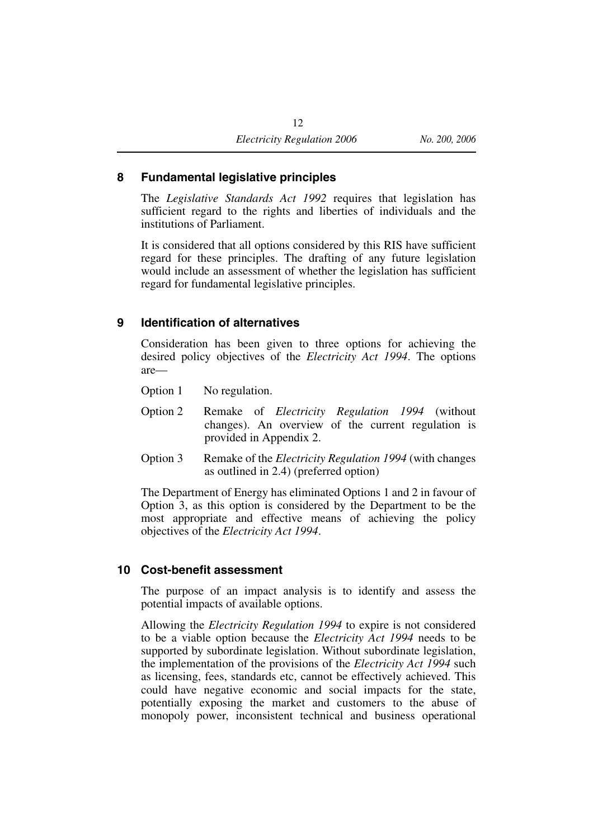#### **8 Fundamental legislative principles**

The *Legislative Standards Act 1992* requires that legislation has sufficient regard to the rights and liberties of individuals and the institutions of Parliament.

It is considered that all options considered by this RIS have sufficient regard for these principles. The drafting of any future legislation would include an assessment of whether the legislation has sufficient regard for fundamental legislative principles.

#### **9 Identification of alternatives**

Consideration has been given to three options for achieving the desired policy objectives of the *Electricity Act 1994*. The options are—

Option 1 No regulation.

- Option 2 Remake of *Electricity Regulation 1994* (without changes). An overview of the current regulation is provided in Appendix 2.
- Option 3 Remake of the *Electricity Regulation 1994* (with changes as outlined in 2.4) (preferred option)

The Department of Energy has eliminated Options 1 and 2 in favour of Option 3, as this option is considered by the Department to be the most appropriate and effective means of achieving the policy objectives of the *Electricity Act 1994*.

#### **10 Cost-benefit assessment**

The purpose of an impact analysis is to identify and assess the potential impacts of available options.

Allowing the *Electricity Regulation 1994* to expire is not considered to be a viable option because the *Electricity Act 1994* needs to be supported by subordinate legislation. Without subordinate legislation, the implementation of the provisions of the *Electricity Act 1994* such as licensing, fees, standards etc, cannot be effectively achieved. This could have negative economic and social impacts for the state, potentially exposing the market and customers to the abuse of monopoly power, inconsistent technical and business operational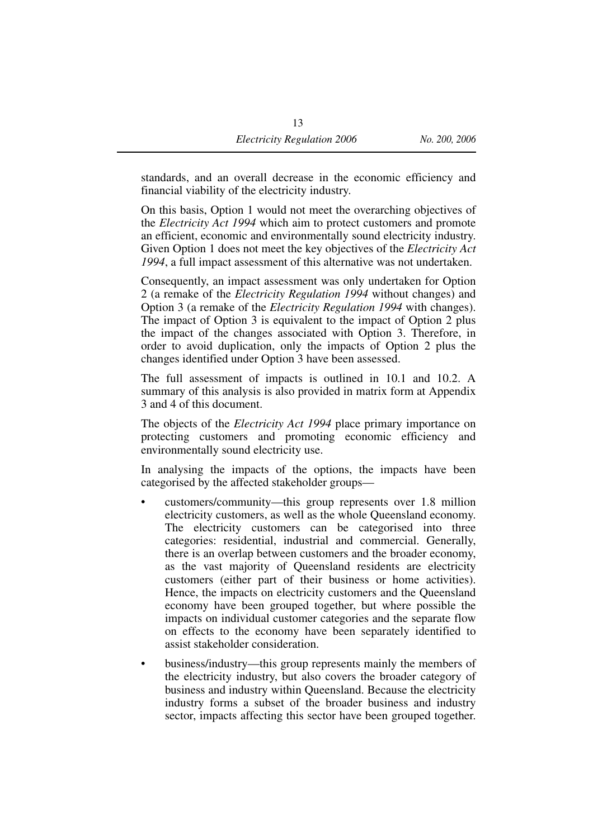standards, and an overall decrease in the economic efficiency and financial viability of the electricity industry.

On this basis, Option 1 would not meet the overarching objectives of the *Electricity Act 1994* which aim to protect customers and promote an efficient, economic and environmentally sound electricity industry. Given Option 1 does not meet the key objectives of the *Electricity Act 1994*, a full impact assessment of this alternative was not undertaken.

Consequently, an impact assessment was only undertaken for Option 2 (a remake of the *Electricity Regulation 1994* without changes) and Option 3 (a remake of the *Electricity Regulation 1994* with changes). The impact of Option 3 is equivalent to the impact of Option 2 plus the impact of the changes associated with Option 3. Therefore, in order to avoid duplication, only the impacts of Option 2 plus the changes identified under Option 3 have been assessed.

The full assessment of impacts is outlined in 10.1 and 10.2. A summary of this analysis is also provided in matrix form at Appendix 3 and 4 of this document.

The objects of the *Electricity Act 1994* place primary importance on protecting customers and promoting economic efficiency and environmentally sound electricity use.

In analysing the impacts of the options, the impacts have been categorised by the affected stakeholder groups—

- customers/community—this group represents over 1.8 million electricity customers, as well as the whole Queensland economy. The electricity customers can be categorised into three categories: residential, industrial and commercial. Generally, there is an overlap between customers and the broader economy, as the vast majority of Queensland residents are electricity customers (either part of their business or home activities). Hence, the impacts on electricity customers and the Queensland economy have been grouped together, but where possible the impacts on individual customer categories and the separate flow on effects to the economy have been separately identified to assist stakeholder consideration.
- business/industry—this group represents mainly the members of the electricity industry, but also covers the broader category of business and industry within Queensland. Because the electricity industry forms a subset of the broader business and industry sector, impacts affecting this sector have been grouped together.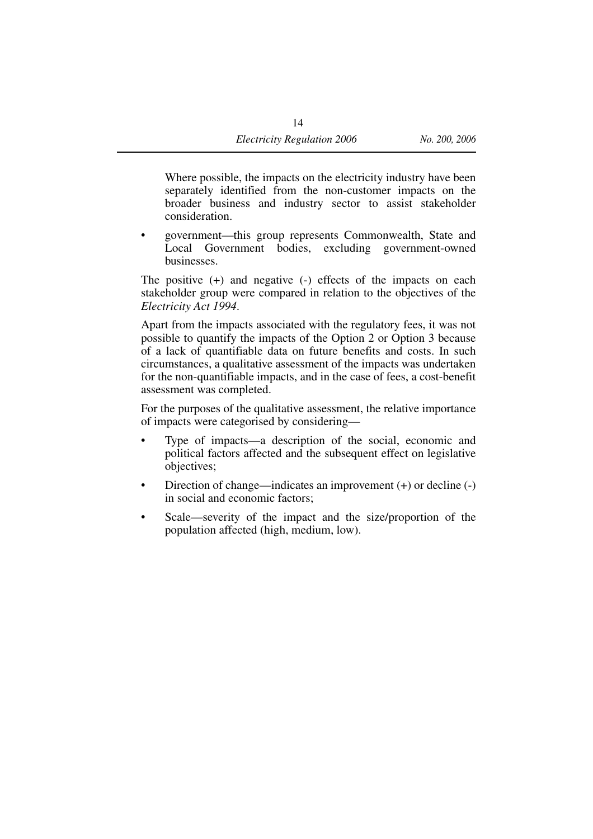Where possible, the impacts on the electricity industry have been separately identified from the non-customer impacts on the broader business and industry sector to assist stakeholder consideration.

• government—this group represents Commonwealth, State and Local Government bodies, excluding government-owned businesses.

The positive (+) and negative (-) effects of the impacts on each stakeholder group were compared in relation to the objectives of the *Electricity Act 1994*.

Apart from the impacts associated with the regulatory fees, it was not possible to quantify the impacts of the Option 2 or Option 3 because of a lack of quantifiable data on future benefits and costs. In such circumstances, a qualitative assessment of the impacts was undertaken for the non-quantifiable impacts, and in the case of fees, a cost-benefit assessment was completed.

For the purposes of the qualitative assessment, the relative importance of impacts were categorised by considering—

- Type of impacts—a description of the social, economic and political factors affected and the subsequent effect on legislative objectives;
- Direction of change—indicates an improvement (+) or decline (-) in social and economic factors;
- Scale—severity of the impact and the size/proportion of the population affected (high, medium, low).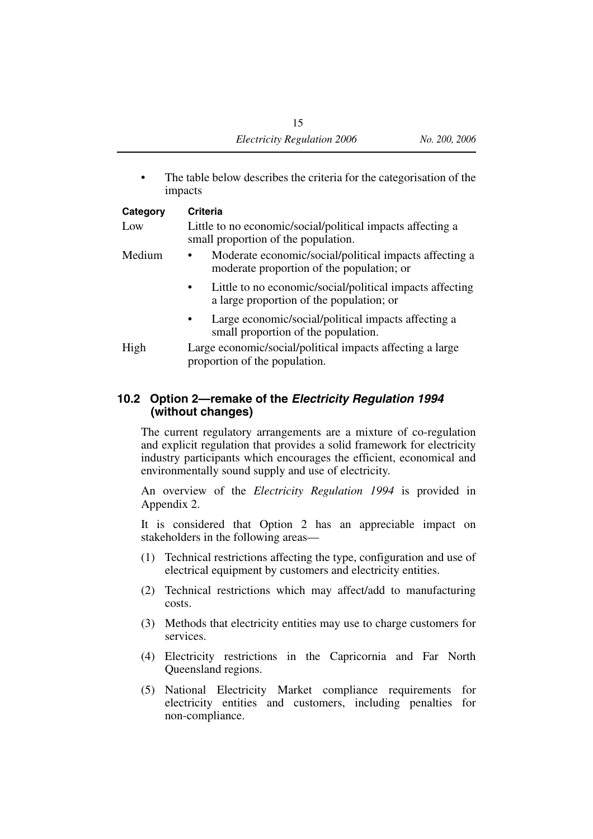The table below describes the criteria for the categorisation of the impacts

| Category | Criteria                                                                                                          |
|----------|-------------------------------------------------------------------------------------------------------------------|
| Low      | Little to no economic/social/political impacts affecting a<br>small proportion of the population.                 |
| Medium   | Moderate economic/social/political impacts affecting a<br>$\bullet$<br>moderate proportion of the population; or  |
|          | Little to no economic/social/political impacts affecting<br>$\bullet$<br>a large proportion of the population; or |
|          | Large economic/social/political impacts affecting a<br>$\bullet$<br>small proportion of the population.           |
| High     | Large economic/social/political impacts affecting a large<br>proportion of the population.                        |

#### **10.2 Option 2—remake of the** *Electricity Regulation 1994* **(without changes)**

The current regulatory arrangements are a mixture of co-regulation and explicit regulation that provides a solid framework for electricity industry participants which encourages the efficient, economical and environmentally sound supply and use of electricity.

An overview of the *Electricity Regulation 1994* is provided in Appendix 2.

It is considered that Option 2 has an appreciable impact on stakeholders in the following areas—

- (1) Technical restrictions affecting the type, configuration and use of electrical equipment by customers and electricity entities.
- (2) Technical restrictions which may affect/add to manufacturing costs.
- (3) Methods that electricity entities may use to charge customers for services.
- (4) Electricity restrictions in the Capricornia and Far North Queensland regions.
- (5) National Electricity Market compliance requirements for electricity entities and customers, including penalties for non-compliance.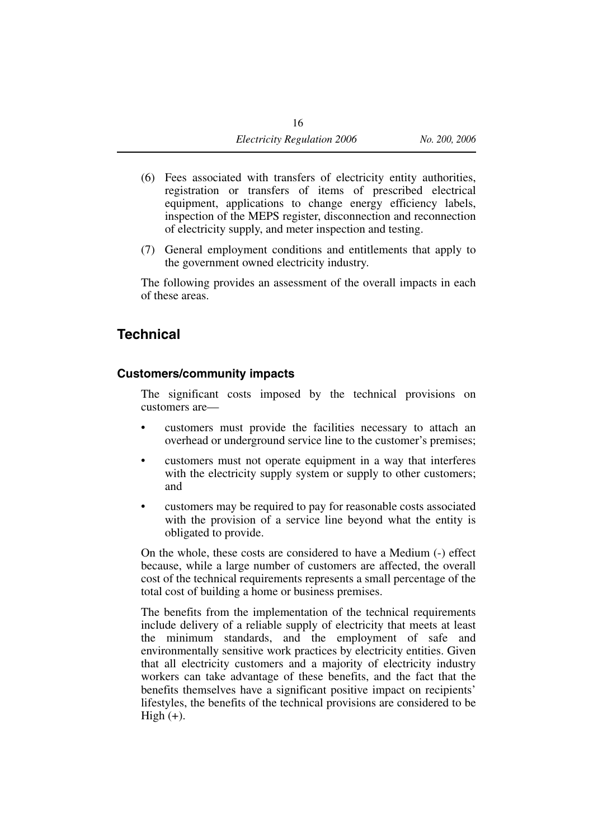- (6) Fees associated with transfers of electricity entity authorities, registration or transfers of items of prescribed electrical equipment, applications to change energy efficiency labels, inspection of the MEPS register, disconnection and reconnection of electricity supply, and meter inspection and testing.
- (7) General employment conditions and entitlements that apply to the government owned electricity industry.

The following provides an assessment of the overall impacts in each of these areas.

#### **Technical**

#### **Customers/community impacts**

The significant costs imposed by the technical provisions on customers are—

- customers must provide the facilities necessary to attach an overhead or underground service line to the customer's premises;
- customers must not operate equipment in a way that interferes with the electricity supply system or supply to other customers; and
- customers may be required to pay for reasonable costs associated with the provision of a service line beyond what the entity is obligated to provide.

On the whole, these costs are considered to have a Medium (-) effect because, while a large number of customers are affected, the overall cost of the technical requirements represents a small percentage of the total cost of building a home or business premises.

The benefits from the implementation of the technical requirements include delivery of a reliable supply of electricity that meets at least the minimum standards, and the employment of safe and environmentally sensitive work practices by electricity entities. Given that all electricity customers and a majority of electricity industry workers can take advantage of these benefits, and the fact that the benefits themselves have a significant positive impact on recipients' lifestyles, the benefits of the technical provisions are considered to be High  $(+)$ .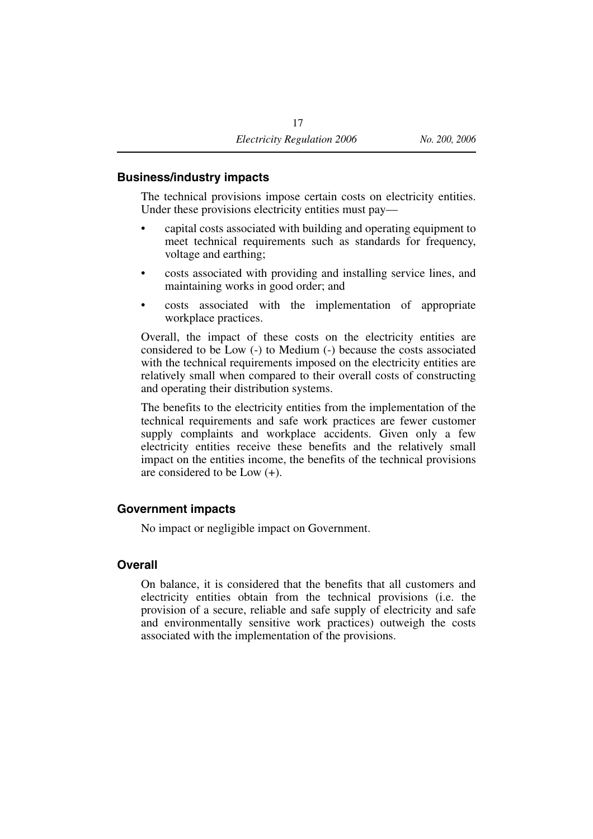#### **Business/industry impacts**

The technical provisions impose certain costs on electricity entities. Under these provisions electricity entities must pay—

- capital costs associated with building and operating equipment to meet technical requirements such as standards for frequency, voltage and earthing;
- costs associated with providing and installing service lines, and maintaining works in good order; and
- costs associated with the implementation of appropriate workplace practices.

Overall, the impact of these costs on the electricity entities are considered to be Low (-) to Medium (-) because the costs associated with the technical requirements imposed on the electricity entities are relatively small when compared to their overall costs of constructing and operating their distribution systems.

The benefits to the electricity entities from the implementation of the technical requirements and safe work practices are fewer customer supply complaints and workplace accidents. Given only a few electricity entities receive these benefits and the relatively small impact on the entities income, the benefits of the technical provisions are considered to be Low (+).

#### **Government impacts**

No impact or negligible impact on Government.

#### **Overall**

On balance, it is considered that the benefits that all customers and electricity entities obtain from the technical provisions (i.e. the provision of a secure, reliable and safe supply of electricity and safe and environmentally sensitive work practices) outweigh the costs associated with the implementation of the provisions.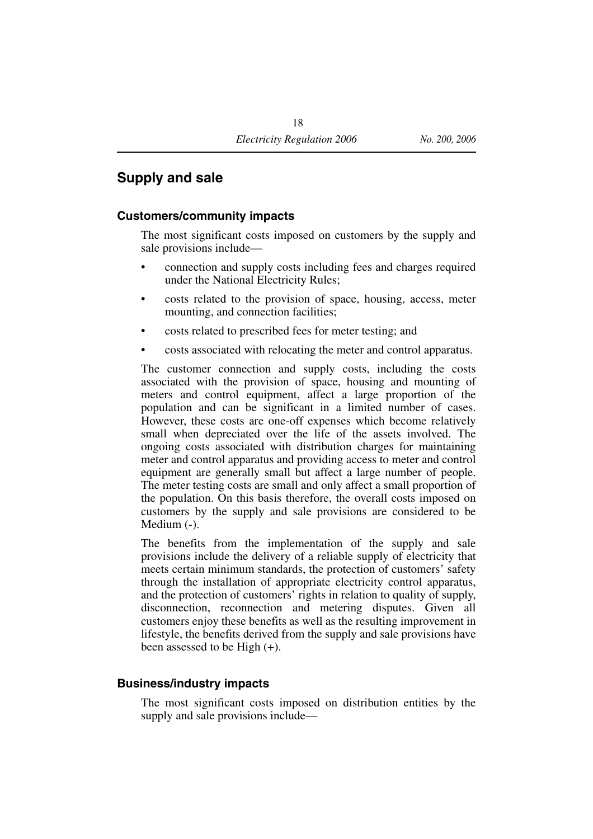#### **Supply and sale**

#### **Customers/community impacts**

The most significant costs imposed on customers by the supply and sale provisions include—

- connection and supply costs including fees and charges required under the National Electricity Rules;
- costs related to the provision of space, housing, access, meter mounting, and connection facilities;
- costs related to prescribed fees for meter testing; and
- costs associated with relocating the meter and control apparatus.

The customer connection and supply costs, including the costs associated with the provision of space, housing and mounting of meters and control equipment, affect a large proportion of the population and can be significant in a limited number of cases. However, these costs are one-off expenses which become relatively small when depreciated over the life of the assets involved. The ongoing costs associated with distribution charges for maintaining meter and control apparatus and providing access to meter and control equipment are generally small but affect a large number of people. The meter testing costs are small and only affect a small proportion of the population. On this basis therefore, the overall costs imposed on customers by the supply and sale provisions are considered to be Medium  $(-)$ .

The benefits from the implementation of the supply and sale provisions include the delivery of a reliable supply of electricity that meets certain minimum standards, the protection of customers' safety through the installation of appropriate electricity control apparatus, and the protection of customers' rights in relation to quality of supply, disconnection, reconnection and metering disputes. Given all customers enjoy these benefits as well as the resulting improvement in lifestyle, the benefits derived from the supply and sale provisions have been assessed to be High (+).

#### **Business/industry impacts**

The most significant costs imposed on distribution entities by the supply and sale provisions include—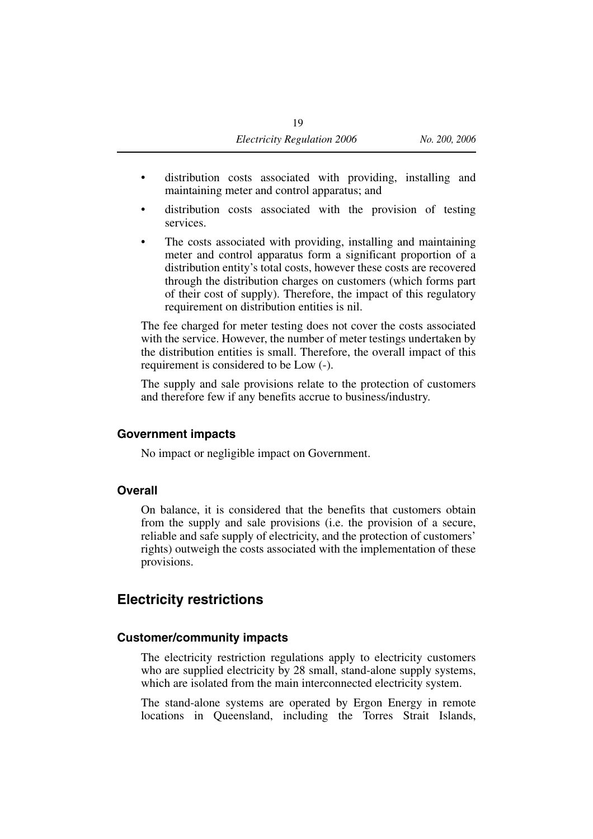- distribution costs associated with providing, installing and maintaining meter and control apparatus; and
- distribution costs associated with the provision of testing services.
- The costs associated with providing, installing and maintaining meter and control apparatus form a significant proportion of a distribution entity's total costs, however these costs are recovered through the distribution charges on customers (which forms part of their cost of supply). Therefore, the impact of this regulatory requirement on distribution entities is nil.

The fee charged for meter testing does not cover the costs associated with the service. However, the number of meter testings undertaken by the distribution entities is small. Therefore, the overall impact of this requirement is considered to be Low (-).

The supply and sale provisions relate to the protection of customers and therefore few if any benefits accrue to business/industry.

#### **Government impacts**

No impact or negligible impact on Government.

#### **Overall**

On balance, it is considered that the benefits that customers obtain from the supply and sale provisions (i.e. the provision of a secure, reliable and safe supply of electricity, and the protection of customers' rights) outweigh the costs associated with the implementation of these provisions.

#### **Electricity restrictions**

#### **Customer/community impacts**

The electricity restriction regulations apply to electricity customers who are supplied electricity by 28 small, stand-alone supply systems, which are isolated from the main interconnected electricity system.

The stand-alone systems are operated by Ergon Energy in remote locations in Queensland, including the Torres Strait Islands,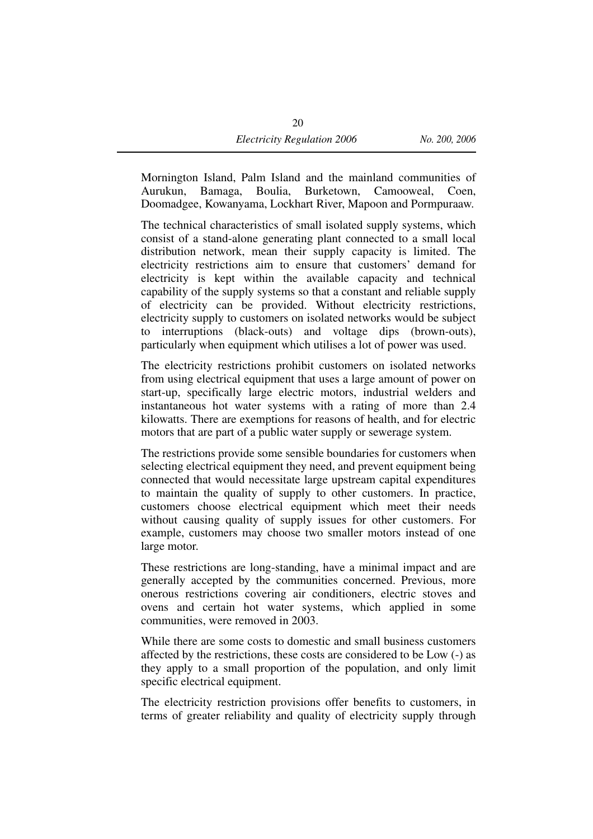Mornington Island, Palm Island and the mainland communities of Aurukun, Bamaga, Boulia, Burketown, Camooweal, Coen, Doomadgee, Kowanyama, Lockhart River, Mapoon and Pormpuraaw.

The technical characteristics of small isolated supply systems, which consist of a stand-alone generating plant connected to a small local distribution network, mean their supply capacity is limited. The electricity restrictions aim to ensure that customers' demand for electricity is kept within the available capacity and technical capability of the supply systems so that a constant and reliable supply of electricity can be provided. Without electricity restrictions, electricity supply to customers on isolated networks would be subject to interruptions (black-outs) and voltage dips (brown-outs), particularly when equipment which utilises a lot of power was used.

The electricity restrictions prohibit customers on isolated networks from using electrical equipment that uses a large amount of power on start-up, specifically large electric motors, industrial welders and instantaneous hot water systems with a rating of more than 2.4 kilowatts. There are exemptions for reasons of health, and for electric motors that are part of a public water supply or sewerage system.

The restrictions provide some sensible boundaries for customers when selecting electrical equipment they need, and prevent equipment being connected that would necessitate large upstream capital expenditures to maintain the quality of supply to other customers. In practice, customers choose electrical equipment which meet their needs without causing quality of supply issues for other customers. For example, customers may choose two smaller motors instead of one large motor.

These restrictions are long-standing, have a minimal impact and are generally accepted by the communities concerned. Previous, more onerous restrictions covering air conditioners, electric stoves and ovens and certain hot water systems, which applied in some communities, were removed in 2003.

While there are some costs to domestic and small business customers affected by the restrictions, these costs are considered to be Low (-) as they apply to a small proportion of the population, and only limit specific electrical equipment.

The electricity restriction provisions offer benefits to customers, in terms of greater reliability and quality of electricity supply through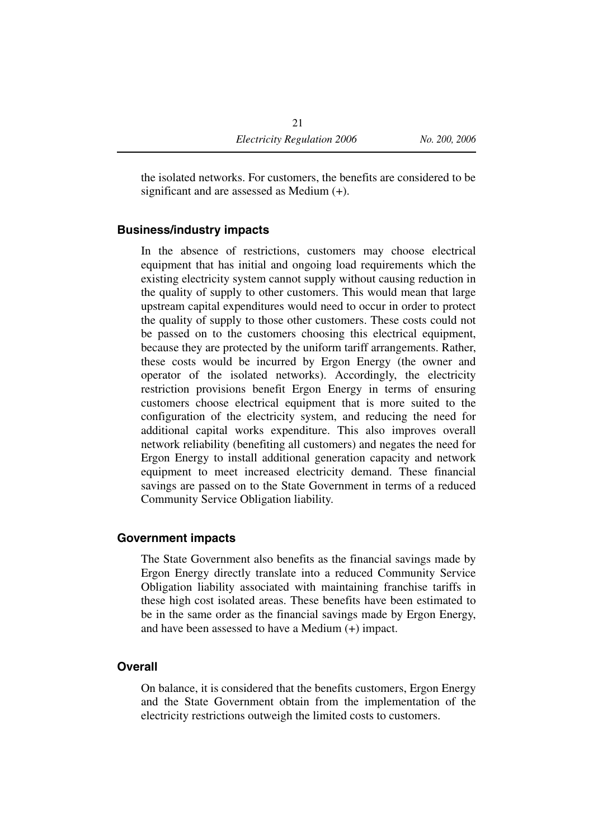the isolated networks. For customers, the benefits are considered to be significant and are assessed as Medium (+).

#### **Business/industry impacts**

In the absence of restrictions, customers may choose electrical equipment that has initial and ongoing load requirements which the existing electricity system cannot supply without causing reduction in the quality of supply to other customers. This would mean that large upstream capital expenditures would need to occur in order to protect the quality of supply to those other customers. These costs could not be passed on to the customers choosing this electrical equipment, because they are protected by the uniform tariff arrangements. Rather, these costs would be incurred by Ergon Energy (the owner and operator of the isolated networks). Accordingly, the electricity restriction provisions benefit Ergon Energy in terms of ensuring customers choose electrical equipment that is more suited to the configuration of the electricity system, and reducing the need for additional capital works expenditure. This also improves overall network reliability (benefiting all customers) and negates the need for Ergon Energy to install additional generation capacity and network equipment to meet increased electricity demand. These financial savings are passed on to the State Government in terms of a reduced Community Service Obligation liability.

#### **Government impacts**

The State Government also benefits as the financial savings made by Ergon Energy directly translate into a reduced Community Service Obligation liability associated with maintaining franchise tariffs in these high cost isolated areas. These benefits have been estimated to be in the same order as the financial savings made by Ergon Energy, and have been assessed to have a Medium (+) impact.

#### **Overall**

On balance, it is considered that the benefits customers, Ergon Energy and the State Government obtain from the implementation of the electricity restrictions outweigh the limited costs to customers.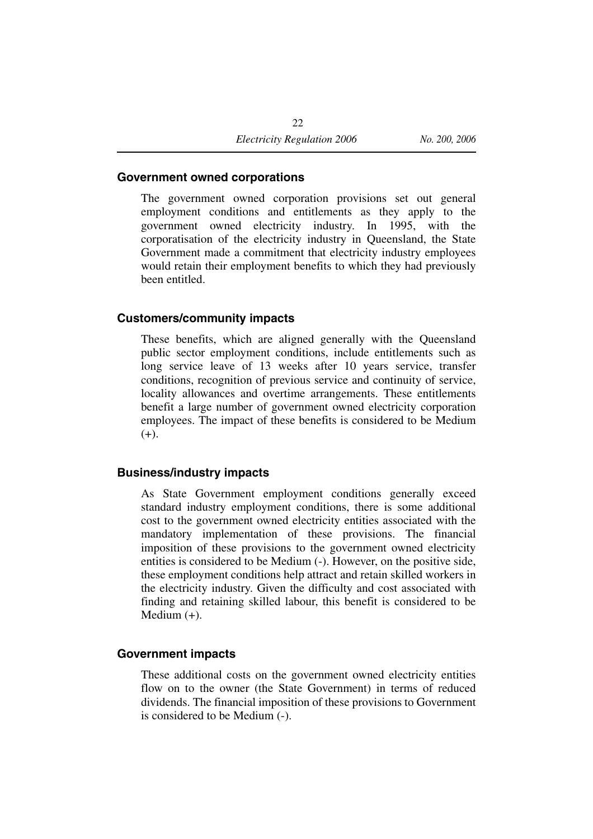#### **Government owned corporations**

The government owned corporation provisions set out general employment conditions and entitlements as they apply to the government owned electricity industry. In 1995, with the corporatisation of the electricity industry in Queensland, the State Government made a commitment that electricity industry employees would retain their employment benefits to which they had previously been entitled.

#### **Customers/community impacts**

These benefits, which are aligned generally with the Queensland public sector employment conditions, include entitlements such as long service leave of 13 weeks after 10 years service, transfer conditions, recognition of previous service and continuity of service, locality allowances and overtime arrangements. These entitlements benefit a large number of government owned electricity corporation employees. The impact of these benefits is considered to be Medium  $(+).$ 

#### **Business/industry impacts**

As State Government employment conditions generally exceed standard industry employment conditions, there is some additional cost to the government owned electricity entities associated with the mandatory implementation of these provisions. The financial imposition of these provisions to the government owned electricity entities is considered to be Medium (-). However, on the positive side, these employment conditions help attract and retain skilled workers in the electricity industry. Given the difficulty and cost associated with finding and retaining skilled labour, this benefit is considered to be Medium (+).

#### **Government impacts**

These additional costs on the government owned electricity entities flow on to the owner (the State Government) in terms of reduced dividends. The financial imposition of these provisions to Government is considered to be Medium (-).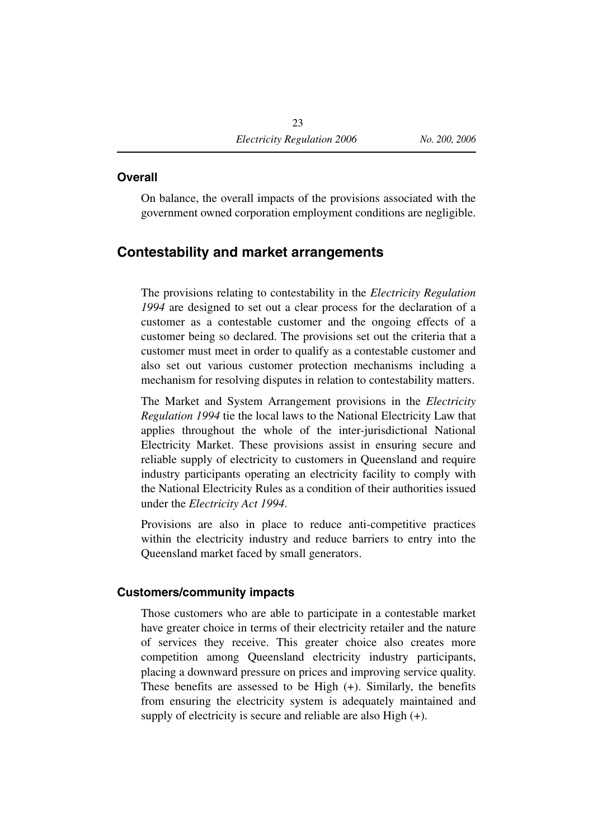#### **Overall**

On balance, the overall impacts of the provisions associated with the government owned corporation employment conditions are negligible.

#### **Contestability and market arrangements**

The provisions relating to contestability in the *Electricity Regulation 1994* are designed to set out a clear process for the declaration of a customer as a contestable customer and the ongoing effects of a customer being so declared. The provisions set out the criteria that a customer must meet in order to qualify as a contestable customer and also set out various customer protection mechanisms including a mechanism for resolving disputes in relation to contestability matters.

The Market and System Arrangement provisions in the *Electricity Regulation 1994* tie the local laws to the National Electricity Law that applies throughout the whole of the inter-jurisdictional National Electricity Market. These provisions assist in ensuring secure and reliable supply of electricity to customers in Queensland and require industry participants operating an electricity facility to comply with the National Electricity Rules as a condition of their authorities issued under the *Electricity Act 1994*.

Provisions are also in place to reduce anti-competitive practices within the electricity industry and reduce barriers to entry into the Queensland market faced by small generators.

#### **Customers/community impacts**

Those customers who are able to participate in a contestable market have greater choice in terms of their electricity retailer and the nature of services they receive. This greater choice also creates more competition among Queensland electricity industry participants, placing a downward pressure on prices and improving service quality. These benefits are assessed to be High (+). Similarly, the benefits from ensuring the electricity system is adequately maintained and supply of electricity is secure and reliable are also High (+).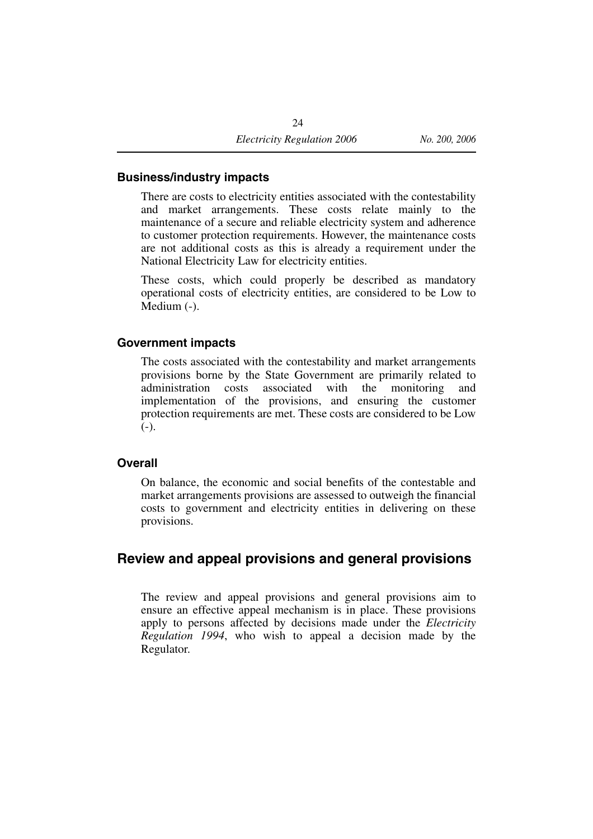#### **Business/industry impacts**

There are costs to electricity entities associated with the contestability and market arrangements. These costs relate mainly to the maintenance of a secure and reliable electricity system and adherence to customer protection requirements. However, the maintenance costs are not additional costs as this is already a requirement under the National Electricity Law for electricity entities.

These costs, which could properly be described as mandatory operational costs of electricity entities, are considered to be Low to Medium  $(-)$ .

#### **Government impacts**

The costs associated with the contestability and market arrangements provisions borne by the State Government are primarily related to administration costs associated with the monitoring and implementation of the provisions, and ensuring the customer protection requirements are met. These costs are considered to be Low  $(-).$ 

#### **Overall**

On balance, the economic and social benefits of the contestable and market arrangements provisions are assessed to outweigh the financial costs to government and electricity entities in delivering on these provisions.

#### **Review and appeal provisions and general provisions**

The review and appeal provisions and general provisions aim to ensure an effective appeal mechanism is in place. These provisions apply to persons affected by decisions made under the *Electricity Regulation 1994*, who wish to appeal a decision made by the Regulator.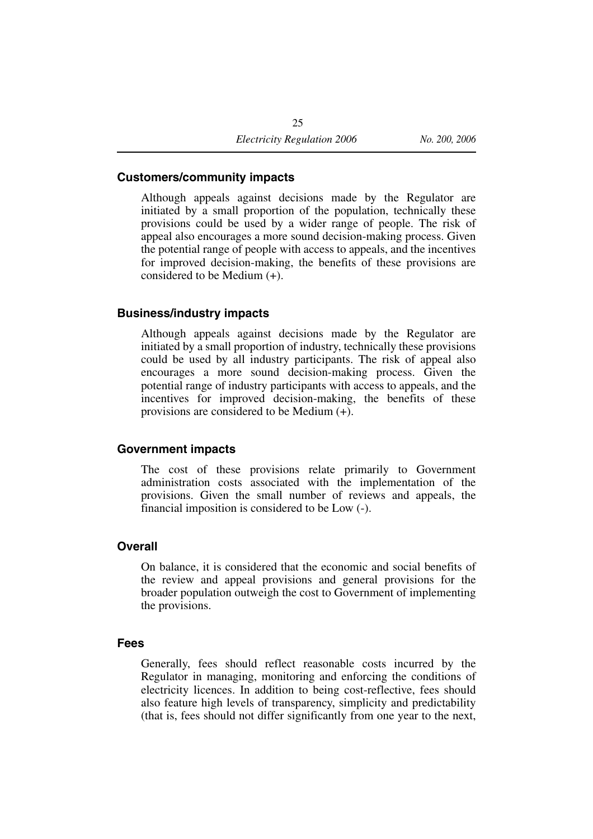#### **Customers/community impacts**

Although appeals against decisions made by the Regulator are initiated by a small proportion of the population, technically these provisions could be used by a wider range of people. The risk of appeal also encourages a more sound decision-making process. Given the potential range of people with access to appeals, and the incentives for improved decision-making, the benefits of these provisions are considered to be Medium (+).

#### **Business/industry impacts**

Although appeals against decisions made by the Regulator are initiated by a small proportion of industry, technically these provisions could be used by all industry participants. The risk of appeal also encourages a more sound decision-making process. Given the potential range of industry participants with access to appeals, and the incentives for improved decision-making, the benefits of these provisions are considered to be Medium (+).

#### **Government impacts**

The cost of these provisions relate primarily to Government administration costs associated with the implementation of the provisions. Given the small number of reviews and appeals, the financial imposition is considered to be Low (-).

#### **Overall**

On balance, it is considered that the economic and social benefits of the review and appeal provisions and general provisions for the broader population outweigh the cost to Government of implementing the provisions.

#### **Fees**

Generally, fees should reflect reasonable costs incurred by the Regulator in managing, monitoring and enforcing the conditions of electricity licences. In addition to being cost-reflective, fees should also feature high levels of transparency, simplicity and predictability (that is, fees should not differ significantly from one year to the next,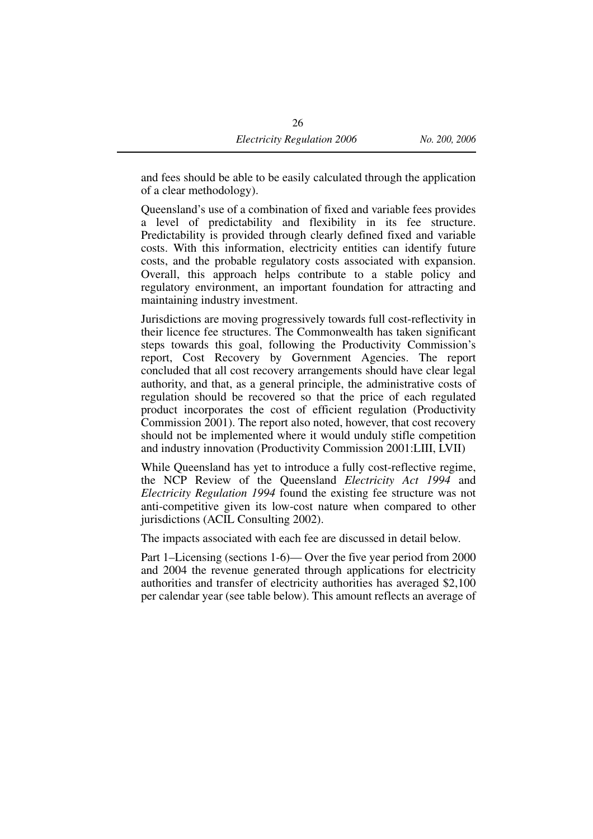and fees should be able to be easily calculated through the application of a clear methodology).

Queensland's use of a combination of fixed and variable fees provides a level of predictability and flexibility in its fee structure. Predictability is provided through clearly defined fixed and variable costs. With this information, electricity entities can identify future costs, and the probable regulatory costs associated with expansion. Overall, this approach helps contribute to a stable policy and regulatory environment, an important foundation for attracting and maintaining industry investment.

Jurisdictions are moving progressively towards full cost-reflectivity in their licence fee structures. The Commonwealth has taken significant steps towards this goal, following the Productivity Commission's report, Cost Recovery by Government Agencies. The report concluded that all cost recovery arrangements should have clear legal authority, and that, as a general principle, the administrative costs of regulation should be recovered so that the price of each regulated product incorporates the cost of efficient regulation (Productivity Commission 2001). The report also noted, however, that cost recovery should not be implemented where it would unduly stifle competition and industry innovation (Productivity Commission 2001:LIII, LVII)

While Queensland has yet to introduce a fully cost-reflective regime, the NCP Review of the Queensland *Electricity Act 1994* and *Electricity Regulation 1994* found the existing fee structure was not anti-competitive given its low-cost nature when compared to other jurisdictions (ACIL Consulting 2002).

The impacts associated with each fee are discussed in detail below.

Part 1–Licensing (sections 1-6)— Over the five year period from 2000 and 2004 the revenue generated through applications for electricity authorities and transfer of electricity authorities has averaged \$2,100 per calendar year (see table below). This amount reflects an average of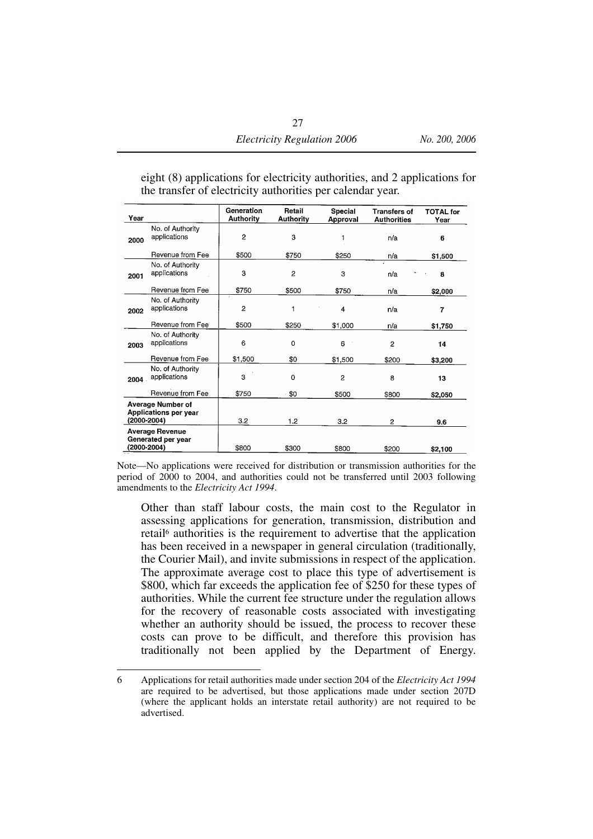| Year        |                                                   | Generation<br><b>Authority</b> | Retail<br><b>Authority</b> | Special<br>Approval | <b>Transfers of</b><br><b>Authorities</b> | <b>TOTAL</b> for<br>Year |
|-------------|---------------------------------------------------|--------------------------------|----------------------------|---------------------|-------------------------------------------|--------------------------|
| 2000        | No. of Authority<br>applications                  | 2                              | 3                          |                     | n/a                                       | 6                        |
|             | Revenue from Fee                                  | \$500                          | \$750                      | \$250               | n/a                                       | \$1,500                  |
| 2001        | No. of Authority<br>applications                  | 3                              | 2                          | 3                   | n/a                                       | 8                        |
|             | Revenue from Fee                                  | \$750                          | \$500                      | \$750               | n/a                                       | \$2,000                  |
| 2002        | No. of Authority<br>applications                  | $\overline{2}$                 | 1                          | 4                   | n/a                                       | 7                        |
|             | Revenue from Fee                                  | \$500                          | \$250                      | \$1,000             | n/a                                       | \$1,750                  |
| 2003        | No. of Authority<br>applications                  | 6                              | 0                          | 6                   | 2                                         | 14                       |
|             | Revenue from Fee                                  | \$1,500                        | \$0                        | \$1,500             | \$200                                     | \$3,200                  |
| 2004        | No. of Authority<br>applications                  | 3                              | 0                          | 2                   | 8                                         | 13                       |
|             | Revenue from Fee                                  | \$750                          | \$0                        | \$500               | \$800                                     | \$2,050                  |
| (2000-2004) | <b>Average Number of</b><br>Applications per year | 3.2                            | 1.2                        | 3.2                 | $\overline{2}$                            | 9.6                      |
| (2000-2004) | Average Revenue<br>Generated per year             | \$800                          | \$300                      | \$800               | \$200                                     | \$2,100                  |

eight (8) applications for electricity authorities, and 2 applications for the transfer of electricity authorities per calendar year.

Note—No applications were received for distribution or transmission authorities for the period of 2000 to 2004, and authorities could not be transferred until 2003 following amendments to the *Electricity Act 1994*.

Other than staff labour costs, the main cost to the Regulator in assessing applications for generation, transmission, distribution and retail6 authorities is the requirement to advertise that the application has been received in a newspaper in general circulation (traditionally, the Courier Mail), and invite submissions in respect of the application. The approximate average cost to place this type of advertisement is \$800, which far exceeds the application fee of \$250 for these types of authorities. While the current fee structure under the regulation allows for the recovery of reasonable costs associated with investigating whether an authority should be issued, the process to recover these costs can prove to be difficult, and therefore this provision has traditionally not been applied by the Department of Energy.

<sup>6</sup> Applications for retail authorities made under section 204 of the *Electricity Act 1994* are required to be advertised, but those applications made under section 207D (where the applicant holds an interstate retail authority) are not required to be advertised.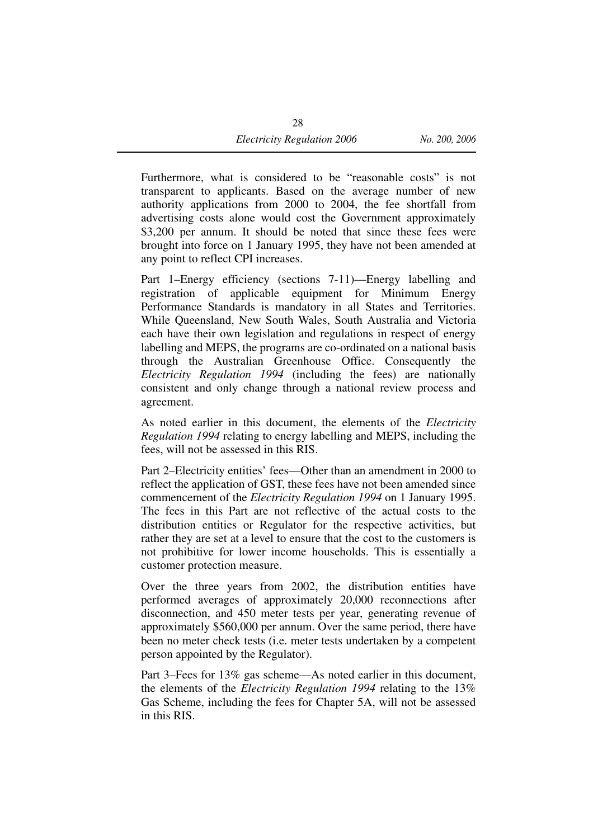Furthermore, what is considered to be "reasonable costs" is not transparent to applicants. Based on the average number of new authority applications from 2000 to 2004, the fee shortfall from advertising costs alone would cost the Government approximately \$3,200 per annum. It should be noted that since these fees were brought into force on 1 January 1995, they have not been amended at any point to reflect CPI increases.

Part 1–Energy efficiency (sections 7-11)—Energy labelling and registration of applicable equipment for Minimum Energy Performance Standards is mandatory in all States and Territories. While Queensland, New South Wales, South Australia and Victoria each have their own legislation and regulations in respect of energy labelling and MEPS, the programs are co-ordinated on a national basis through the Australian Greenhouse Office. Consequently the *Electricity Regulation 1994* (including the fees) are nationally consistent and only change through a national review process and agreement.

As noted earlier in this document, the elements of the *Electricity Regulation 1994* relating to energy labelling and MEPS, including the fees, will not be assessed in this RIS.

Part 2–Electricity entities' fees—Other than an amendment in 2000 to reflect the application of GST, these fees have not been amended since commencement of the *Electricity Regulation 1994* on 1 January 1995. The fees in this Part are not reflective of the actual costs to the distribution entities or Regulator for the respective activities, but rather they are set at a level to ensure that the cost to the customers is not prohibitive for lower income households. This is essentially a customer protection measure.

Over the three years from 2002, the distribution entities have performed averages of approximately 20,000 reconnections after disconnection, and 450 meter tests per year, generating revenue of approximately \$560,000 per annum. Over the same period, there have been no meter check tests (i.e. meter tests undertaken by a competent person appointed by the Regulator).

Part 3–Fees for 13% gas scheme—As noted earlier in this document, the elements of the *Electricity Regulation 1994* relating to the 13% Gas Scheme, including the fees for Chapter 5A, will not be assessed in this RIS.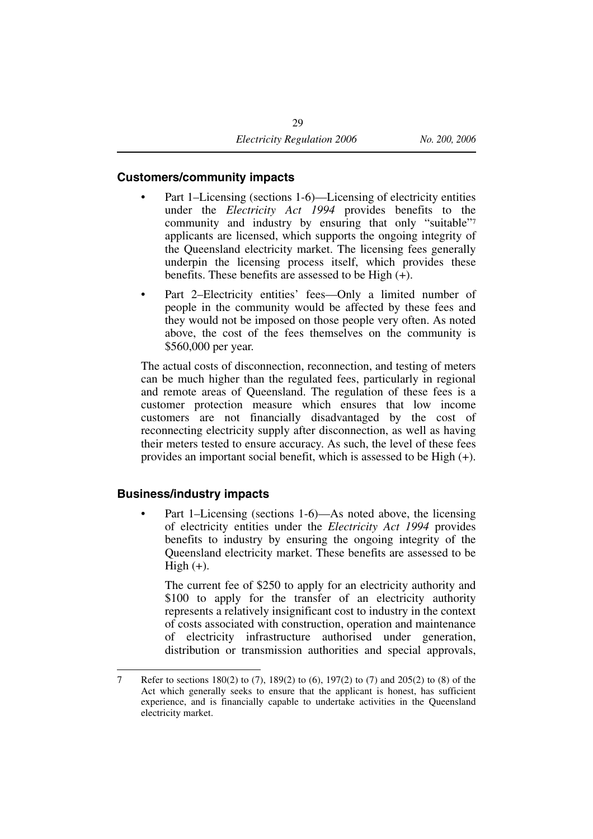#### **Customers/community impacts**

- Part 1–Licensing (sections 1-6)—Licensing of electricity entities under the *Electricity Act 1994* provides benefits to the community and industry by ensuring that only "suitable"7 applicants are licensed, which supports the ongoing integrity of the Queensland electricity market. The licensing fees generally underpin the licensing process itself, which provides these benefits. These benefits are assessed to be High  $(+)$ .
- Part 2–Electricity entities' fees—Only a limited number of people in the community would be affected by these fees and they would not be imposed on those people very often. As noted above, the cost of the fees themselves on the community is \$560,000 per year.

The actual costs of disconnection, reconnection, and testing of meters can be much higher than the regulated fees, particularly in regional and remote areas of Queensland. The regulation of these fees is a customer protection measure which ensures that low income customers are not financially disadvantaged by the cost of reconnecting electricity supply after disconnection, as well as having their meters tested to ensure accuracy. As such, the level of these fees provides an important social benefit, which is assessed to be High (+).

#### **Business/industry impacts**

Part 1–Licensing (sections 1-6)—As noted above, the licensing of electricity entities under the *Electricity Act 1994* provides benefits to industry by ensuring the ongoing integrity of the Queensland electricity market. These benefits are assessed to be High  $(+)$ .

The current fee of \$250 to apply for an electricity authority and \$100 to apply for the transfer of an electricity authority represents a relatively insignificant cost to industry in the context of costs associated with construction, operation and maintenance of electricity infrastructure authorised under generation, distribution or transmission authorities and special approvals,

<sup>7</sup> Refer to sections 180(2) to (7), 189(2) to (6), 197(2) to (7) and 205(2) to (8) of the Act which generally seeks to ensure that the applicant is honest, has sufficient experience, and is financially capable to undertake activities in the Queensland electricity market.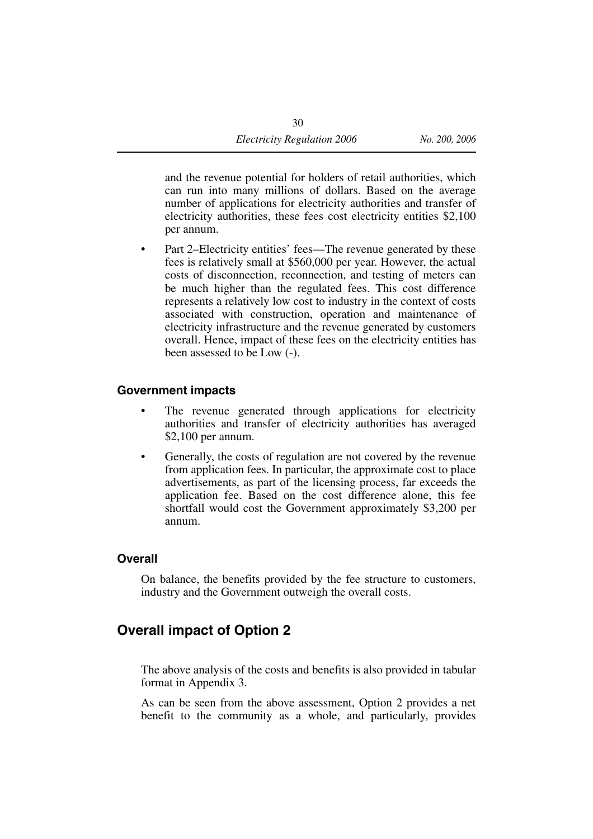and the revenue potential for holders of retail authorities, which can run into many millions of dollars. Based on the average number of applications for electricity authorities and transfer of electricity authorities, these fees cost electricity entities \$2,100 per annum.

• Part 2–Electricity entities' fees—The revenue generated by these fees is relatively small at \$560,000 per year. However, the actual costs of disconnection, reconnection, and testing of meters can be much higher than the regulated fees. This cost difference represents a relatively low cost to industry in the context of costs associated with construction, operation and maintenance of electricity infrastructure and the revenue generated by customers overall. Hence, impact of these fees on the electricity entities has been assessed to be Low (-).

#### **Government impacts**

- The revenue generated through applications for electricity authorities and transfer of electricity authorities has averaged \$2,100 per annum.
- Generally, the costs of regulation are not covered by the revenue from application fees. In particular, the approximate cost to place advertisements, as part of the licensing process, far exceeds the application fee. Based on the cost difference alone, this fee shortfall would cost the Government approximately \$3,200 per annum.

#### **Overall**

On balance, the benefits provided by the fee structure to customers, industry and the Government outweigh the overall costs.

## **Overall impact of Option 2**

The above analysis of the costs and benefits is also provided in tabular format in Appendix 3.

As can be seen from the above assessment, Option 2 provides a net benefit to the community as a whole, and particularly, provides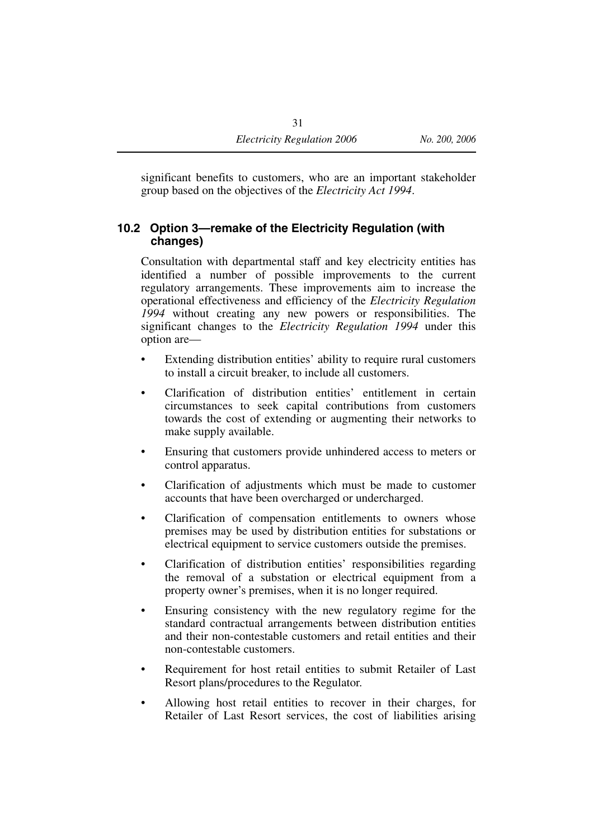significant benefits to customers, who are an important stakeholder group based on the objectives of the *Electricity Act 1994*.

#### **10.2 Option 3—remake of the Electricity Regulation (with changes)**

Consultation with departmental staff and key electricity entities has identified a number of possible improvements to the current regulatory arrangements. These improvements aim to increase the operational effectiveness and efficiency of the *Electricity Regulation 1994* without creating any new powers or responsibilities. The significant changes to the *Electricity Regulation 1994* under this option are—

- Extending distribution entities' ability to require rural customers to install a circuit breaker, to include all customers.
- Clarification of distribution entities' entitlement in certain circumstances to seek capital contributions from customers towards the cost of extending or augmenting their networks to make supply available.
- Ensuring that customers provide unhindered access to meters or control apparatus.
- Clarification of adjustments which must be made to customer accounts that have been overcharged or undercharged.
- Clarification of compensation entitlements to owners whose premises may be used by distribution entities for substations or electrical equipment to service customers outside the premises.
- Clarification of distribution entities' responsibilities regarding the removal of a substation or electrical equipment from a property owner's premises, when it is no longer required.
- Ensuring consistency with the new regulatory regime for the standard contractual arrangements between distribution entities and their non-contestable customers and retail entities and their non-contestable customers.
- Requirement for host retail entities to submit Retailer of Last Resort plans/procedures to the Regulator.
- Allowing host retail entities to recover in their charges, for Retailer of Last Resort services, the cost of liabilities arising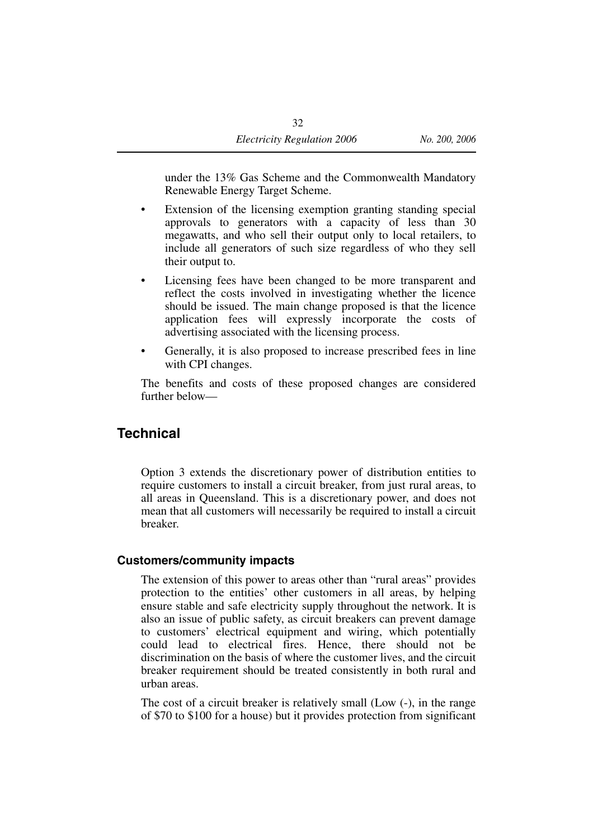under the 13% Gas Scheme and the Commonwealth Mandatory Renewable Energy Target Scheme.

- Extension of the licensing exemption granting standing special approvals to generators with a capacity of less than 30 megawatts, and who sell their output only to local retailers, to include all generators of such size regardless of who they sell their output to.
- Licensing fees have been changed to be more transparent and reflect the costs involved in investigating whether the licence should be issued. The main change proposed is that the licence application fees will expressly incorporate the costs of advertising associated with the licensing process.
- Generally, it is also proposed to increase prescribed fees in line with CPI changes.

The benefits and costs of these proposed changes are considered further below—

#### **Technical**

Option 3 extends the discretionary power of distribution entities to require customers to install a circuit breaker, from just rural areas, to all areas in Queensland. This is a discretionary power, and does not mean that all customers will necessarily be required to install a circuit breaker.

#### **Customers/community impacts**

The extension of this power to areas other than "rural areas" provides protection to the entities' other customers in all areas, by helping ensure stable and safe electricity supply throughout the network. It is also an issue of public safety, as circuit breakers can prevent damage to customers' electrical equipment and wiring, which potentially could lead to electrical fires. Hence, there should not be discrimination on the basis of where the customer lives, and the circuit breaker requirement should be treated consistently in both rural and urban areas.

The cost of a circuit breaker is relatively small (Low (-), in the range of \$70 to \$100 for a house) but it provides protection from significant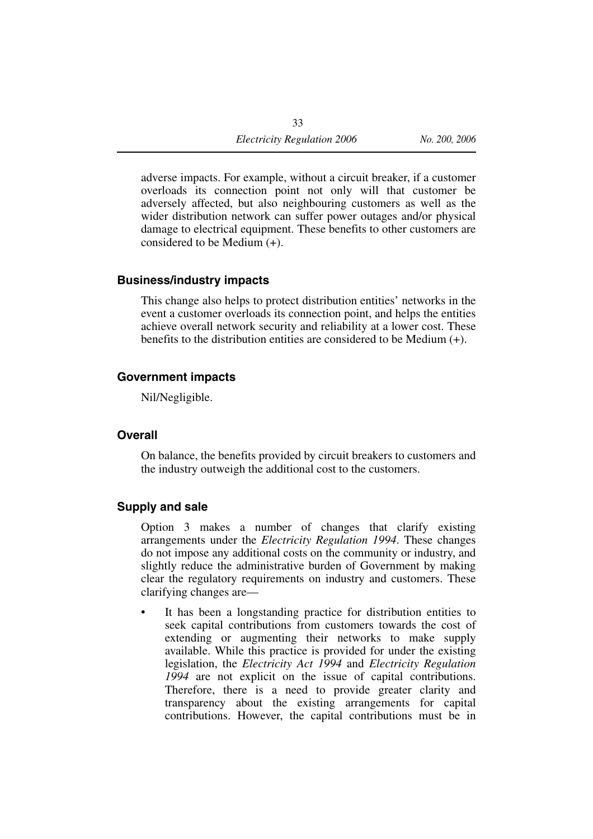adverse impacts. For example, without a circuit breaker, if a customer overloads its connection point not only will that customer be adversely affected, but also neighbouring customers as well as the wider distribution network can suffer power outages and/or physical damage to electrical equipment. These benefits to other customers are considered to be Medium (+).

#### **Business/industry impacts**

This change also helps to protect distribution entities' networks in the event a customer overloads its connection point, and helps the entities achieve overall network security and reliability at a lower cost. These benefits to the distribution entities are considered to be Medium (+).

#### **Government impacts**

Nil/Negligible.

#### **Overall**

On balance, the benefits provided by circuit breakers to customers and the industry outweigh the additional cost to the customers.

#### **Supply and sale**

Option 3 makes a number of changes that clarify existing arrangements under the *Electricity Regulation 1994*. These changes do not impose any additional costs on the community or industry, and slightly reduce the administrative burden of Government by making clear the regulatory requirements on industry and customers. These clarifying changes are—

It has been a longstanding practice for distribution entities to seek capital contributions from customers towards the cost of extending or augmenting their networks to make supply available. While this practice is provided for under the existing legislation, the *Electricity Act 1994* and *Electricity Regulation 1994* are not explicit on the issue of capital contributions. Therefore, there is a need to provide greater clarity and transparency about the existing arrangements for capital contributions. However, the capital contributions must be in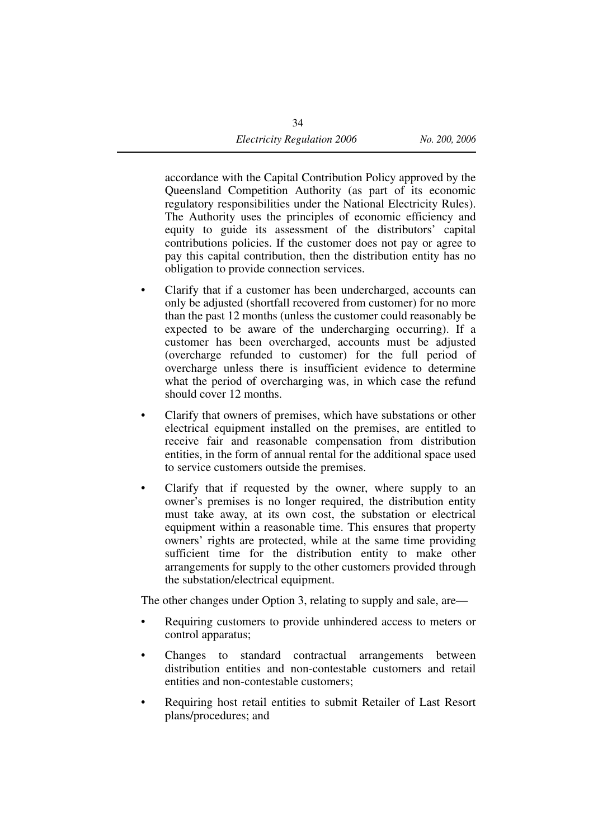accordance with the Capital Contribution Policy approved by the Queensland Competition Authority (as part of its economic regulatory responsibilities under the National Electricity Rules). The Authority uses the principles of economic efficiency and equity to guide its assessment of the distributors' capital contributions policies. If the customer does not pay or agree to pay this capital contribution, then the distribution entity has no obligation to provide connection services.

- Clarify that if a customer has been undercharged, accounts can only be adjusted (shortfall recovered from customer) for no more than the past 12 months (unless the customer could reasonably be expected to be aware of the undercharging occurring). If a customer has been overcharged, accounts must be adjusted (overcharge refunded to customer) for the full period of overcharge unless there is insufficient evidence to determine what the period of overcharging was, in which case the refund should cover 12 months.
- Clarify that owners of premises, which have substations or other electrical equipment installed on the premises, are entitled to receive fair and reasonable compensation from distribution entities, in the form of annual rental for the additional space used to service customers outside the premises.
- Clarify that if requested by the owner, where supply to an owner's premises is no longer required, the distribution entity must take away, at its own cost, the substation or electrical equipment within a reasonable time. This ensures that property owners' rights are protected, while at the same time providing sufficient time for the distribution entity to make other arrangements for supply to the other customers provided through the substation/electrical equipment.

The other changes under Option 3, relating to supply and sale, are—

- Requiring customers to provide unhindered access to meters or control apparatus;
- Changes to standard contractual arrangements between distribution entities and non-contestable customers and retail entities and non-contestable customers;
- Requiring host retail entities to submit Retailer of Last Resort plans/procedures; and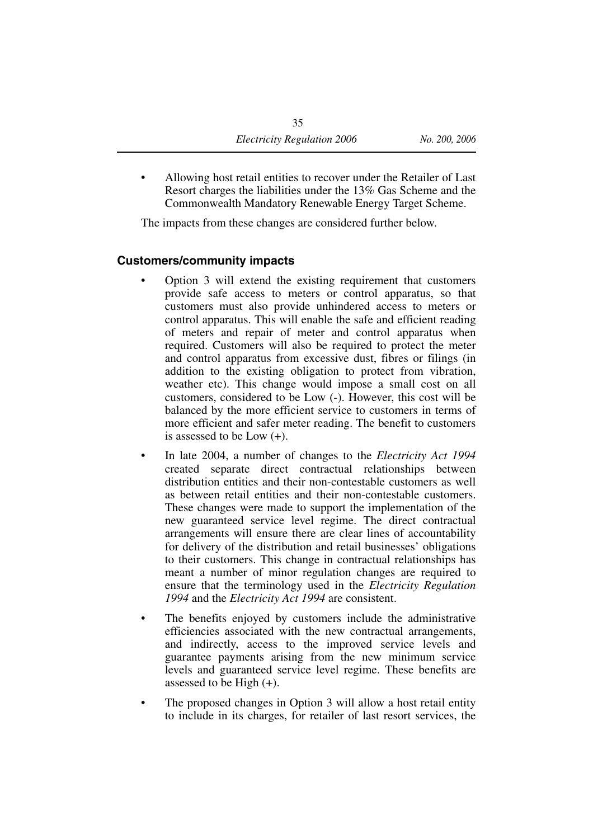• Allowing host retail entities to recover under the Retailer of Last Resort charges the liabilities under the 13% Gas Scheme and the Commonwealth Mandatory Renewable Energy Target Scheme.

The impacts from these changes are considered further below.

#### **Customers/community impacts**

- Option 3 will extend the existing requirement that customers provide safe access to meters or control apparatus, so that customers must also provide unhindered access to meters or control apparatus. This will enable the safe and efficient reading of meters and repair of meter and control apparatus when required. Customers will also be required to protect the meter and control apparatus from excessive dust, fibres or filings (in addition to the existing obligation to protect from vibration, weather etc). This change would impose a small cost on all customers, considered to be Low (-). However, this cost will be balanced by the more efficient service to customers in terms of more efficient and safer meter reading. The benefit to customers is assessed to be Low (+).
- In late 2004, a number of changes to the *Electricity Act 1994* created separate direct contractual relationships between distribution entities and their non-contestable customers as well as between retail entities and their non-contestable customers. These changes were made to support the implementation of the new guaranteed service level regime. The direct contractual arrangements will ensure there are clear lines of accountability for delivery of the distribution and retail businesses' obligations to their customers. This change in contractual relationships has meant a number of minor regulation changes are required to ensure that the terminology used in the *Electricity Regulation 1994* and the *Electricity Act 1994* are consistent.
- The benefits enjoyed by customers include the administrative efficiencies associated with the new contractual arrangements, and indirectly, access to the improved service levels and guarantee payments arising from the new minimum service levels and guaranteed service level regime. These benefits are assessed to be High  $(+)$ .
- The proposed changes in Option 3 will allow a host retail entity to include in its charges, for retailer of last resort services, the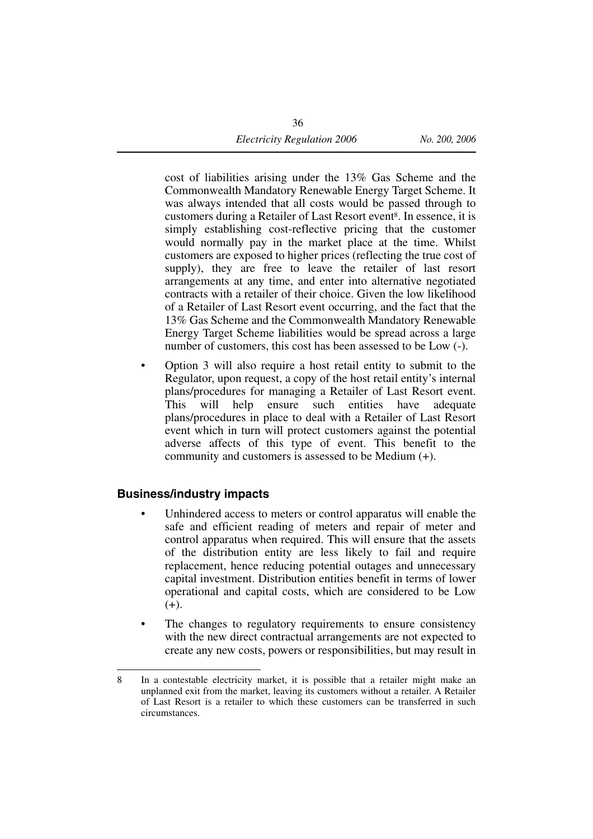cost of liabilities arising under the 13% Gas Scheme and the Commonwealth Mandatory Renewable Energy Target Scheme. It was always intended that all costs would be passed through to customers during a Retailer of Last Resort event<sup>8</sup>. In essence, it is simply establishing cost-reflective pricing that the customer would normally pay in the market place at the time. Whilst customers are exposed to higher prices (reflecting the true cost of supply), they are free to leave the retailer of last resort arrangements at any time, and enter into alternative negotiated contracts with a retailer of their choice. Given the low likelihood of a Retailer of Last Resort event occurring, and the fact that the 13% Gas Scheme and the Commonwealth Mandatory Renewable Energy Target Scheme liabilities would be spread across a large number of customers, this cost has been assessed to be Low (-).

• Option 3 will also require a host retail entity to submit to the Regulator, upon request, a copy of the host retail entity's internal plans/procedures for managing a Retailer of Last Resort event. This will help ensure such entities have adequate plans/procedures in place to deal with a Retailer of Last Resort event which in turn will protect customers against the potential adverse affects of this type of event. This benefit to the community and customers is assessed to be Medium (+).

#### **Business/industry impacts**

- Unhindered access to meters or control apparatus will enable the safe and efficient reading of meters and repair of meter and control apparatus when required. This will ensure that the assets of the distribution entity are less likely to fail and require replacement, hence reducing potential outages and unnecessary capital investment. Distribution entities benefit in terms of lower operational and capital costs, which are considered to be Low  $(+).$
- The changes to regulatory requirements to ensure consistency with the new direct contractual arrangements are not expected to create any new costs, powers or responsibilities, but may result in

<sup>8</sup> In a contestable electricity market, it is possible that a retailer might make an unplanned exit from the market, leaving its customers without a retailer. A Retailer of Last Resort is a retailer to which these customers can be transferred in such circumstances.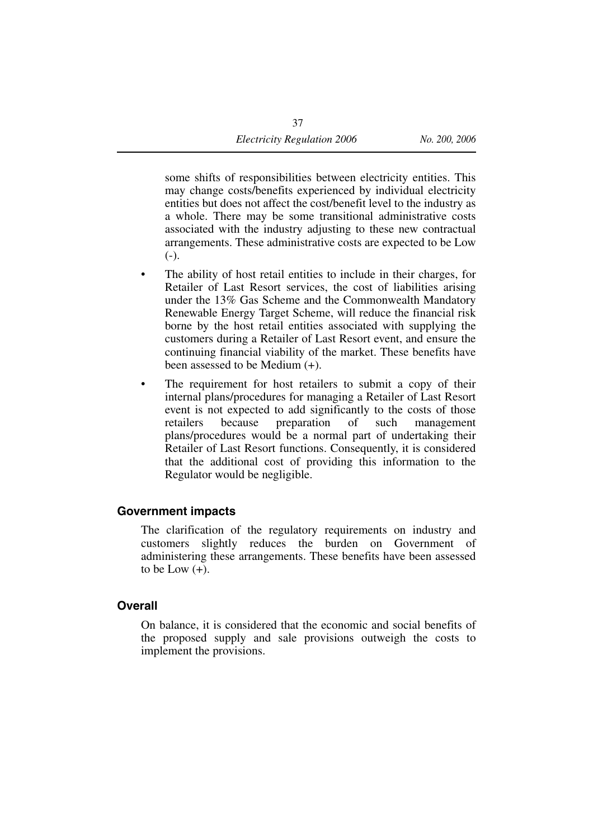some shifts of responsibilities between electricity entities. This may change costs/benefits experienced by individual electricity entities but does not affect the cost/benefit level to the industry as a whole. There may be some transitional administrative costs associated with the industry adjusting to these new contractual arrangements. These administrative costs are expected to be Low  $(-)$ .

- The ability of host retail entities to include in their charges, for Retailer of Last Resort services, the cost of liabilities arising under the 13% Gas Scheme and the Commonwealth Mandatory Renewable Energy Target Scheme, will reduce the financial risk borne by the host retail entities associated with supplying the customers during a Retailer of Last Resort event, and ensure the continuing financial viability of the market. These benefits have been assessed to be Medium (+).
- The requirement for host retailers to submit a copy of their internal plans/procedures for managing a Retailer of Last Resort event is not expected to add significantly to the costs of those retailers because preparation of such management plans/procedures would be a normal part of undertaking their Retailer of Last Resort functions. Consequently, it is considered that the additional cost of providing this information to the Regulator would be negligible.

#### **Government impacts**

The clarification of the regulatory requirements on industry and customers slightly reduces the burden on Government of administering these arrangements. These benefits have been assessed to be Low  $(+)$ .

#### **Overall**

On balance, it is considered that the economic and social benefits of the proposed supply and sale provisions outweigh the costs to implement the provisions.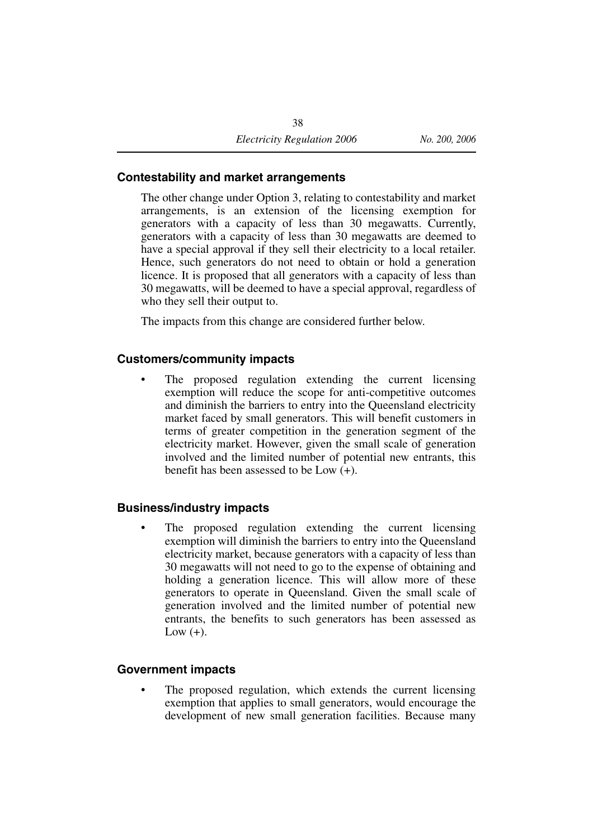#### **Contestability and market arrangements**

The other change under Option 3, relating to contestability and market arrangements, is an extension of the licensing exemption for generators with a capacity of less than 30 megawatts. Currently, generators with a capacity of less than 30 megawatts are deemed to have a special approval if they sell their electricity to a local retailer. Hence, such generators do not need to obtain or hold a generation licence. It is proposed that all generators with a capacity of less than 30 megawatts, will be deemed to have a special approval, regardless of who they sell their output to.

The impacts from this change are considered further below.

#### **Customers/community impacts**

The proposed regulation extending the current licensing exemption will reduce the scope for anti-competitive outcomes and diminish the barriers to entry into the Queensland electricity market faced by small generators. This will benefit customers in terms of greater competition in the generation segment of the electricity market. However, given the small scale of generation involved and the limited number of potential new entrants, this benefit has been assessed to be Low (+).

#### **Business/industry impacts**

The proposed regulation extending the current licensing exemption will diminish the barriers to entry into the Queensland electricity market, because generators with a capacity of less than 30 megawatts will not need to go to the expense of obtaining and holding a generation licence. This will allow more of these generators to operate in Queensland. Given the small scale of generation involved and the limited number of potential new entrants, the benefits to such generators has been assessed as Low  $(+)$ .

#### **Government impacts**

The proposed regulation, which extends the current licensing exemption that applies to small generators, would encourage the development of new small generation facilities. Because many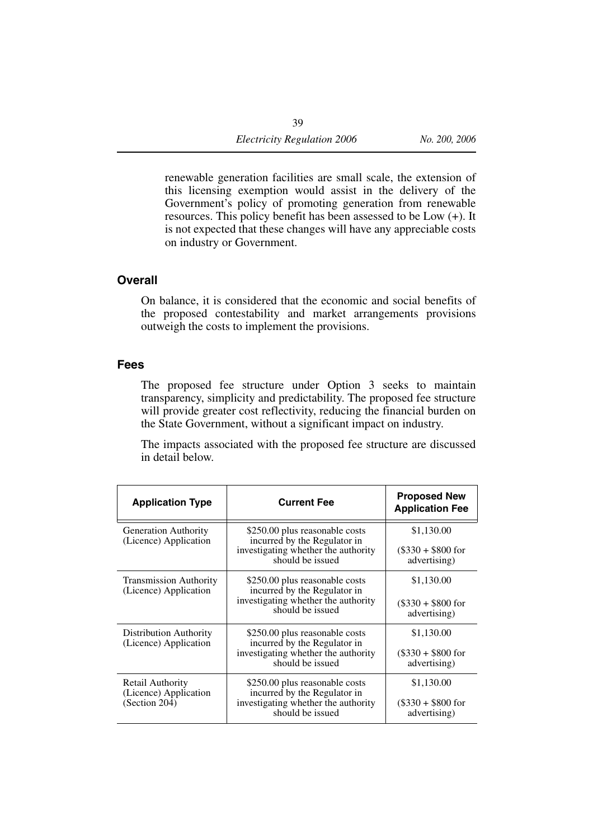renewable generation facilities are small scale, the extension of this licensing exemption would assist in the delivery of the Government's policy of promoting generation from renewable resources. This policy benefit has been assessed to be Low (+). It is not expected that these changes will have any appreciable costs on industry or Government.

#### **Overall**

On balance, it is considered that the economic and social benefits of the proposed contestability and market arrangements provisions outweigh the costs to implement the provisions.

#### **Fees**

The proposed fee structure under Option 3 seeks to maintain transparency, simplicity and predictability. The proposed fee structure will provide greater cost reflectivity, reducing the financial burden on the State Government, without a significant impact on industry.

The impacts associated with the proposed fee structure are discussed in detail below.

| <b>Application Type</b>                                    | <b>Current Fee</b>                                                                                                        | <b>Proposed New</b><br><b>Application Fee</b>      |
|------------------------------------------------------------|---------------------------------------------------------------------------------------------------------------------------|----------------------------------------------------|
| <b>Generation Authority</b><br>(Licence) Application       | \$250.00 plus reasonable costs<br>incurred by the Regulator in<br>investigating whether the authority<br>should be issued | \$1,130.00<br>$(\$330 + \$800$ for<br>advertising) |
| <b>Transmission Authority</b><br>(Licence) Application     | \$250.00 plus reasonable costs<br>incurred by the Regulator in<br>investigating whether the authority<br>should be issued | \$1,130.00<br>$(\$330 + \$800$ for<br>advertising) |
| <b>Distribution Authority</b><br>(Licence) Application     | \$250.00 plus reasonable costs<br>incurred by the Regulator in<br>investigating whether the authority<br>should be issued | \$1,130.00<br>$(\$330 + \$800$ for<br>advertising) |
| Retail Authority<br>(Licence) Application<br>(Section 204) | \$250.00 plus reasonable costs<br>incurred by the Regulator in<br>investigating whether the authority<br>should be issued | \$1,130.00<br>$(\$330 + \$800$ for<br>advertising) |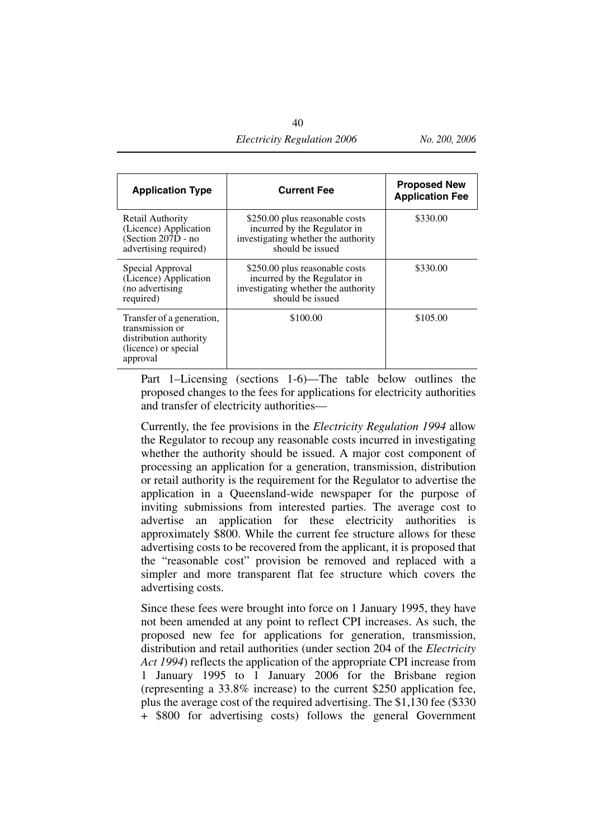| <b>Electricity Regulation 2006</b> | No. 200, 2006 |
|------------------------------------|---------------|
|                                    |               |

| <b>Application Type</b>                                                                                    | <b>Current Fee</b>                                                                                                        | <b>Proposed New</b><br><b>Application Fee</b> |
|------------------------------------------------------------------------------------------------------------|---------------------------------------------------------------------------------------------------------------------------|-----------------------------------------------|
| Retail Authority<br>(Licence) Application<br>(Section 207D - no<br>advertising required)                   | \$250.00 plus reasonable costs<br>incurred by the Regulator in<br>investigating whether the authority<br>should be issued | \$330.00                                      |
| Special Approval<br>(Licence) Application<br>(no advertising)<br>required)                                 | \$250.00 plus reasonable costs<br>incurred by the Regulator in<br>investigating whether the authority<br>should be issued | \$330.00                                      |
| Transfer of a generation,<br>transmission or<br>distribution authority<br>(licence) or special<br>approval | \$100.00                                                                                                                  | \$105.00                                      |

Part 1–Licensing (sections 1-6)—The table below outlines the proposed changes to the fees for applications for electricity authorities and transfer of electricity authorities—

Currently, the fee provisions in the *Electricity Regulation 1994* allow the Regulator to recoup any reasonable costs incurred in investigating whether the authority should be issued. A major cost component of processing an application for a generation, transmission, distribution or retail authority is the requirement for the Regulator to advertise the application in a Queensland-wide newspaper for the purpose of inviting submissions from interested parties. The average cost to advertise an application for these electricity authorities is approximately \$800. While the current fee structure allows for these advertising costs to be recovered from the applicant, it is proposed that the "reasonable cost" provision be removed and replaced with a simpler and more transparent flat fee structure which covers the advertising costs.

Since these fees were brought into force on 1 January 1995, they have not been amended at any point to reflect CPI increases. As such, the proposed new fee for applications for generation, transmission, distribution and retail authorities (under section 204 of the *Electricity Act 1994*) reflects the application of the appropriate CPI increase from 1 January 1995 to 1 January 2006 for the Brisbane region (representing a 33.8% increase) to the current \$250 application fee, plus the average cost of the required advertising. The \$1,130 fee (\$330 + \$800 for advertising costs) follows the general Government

40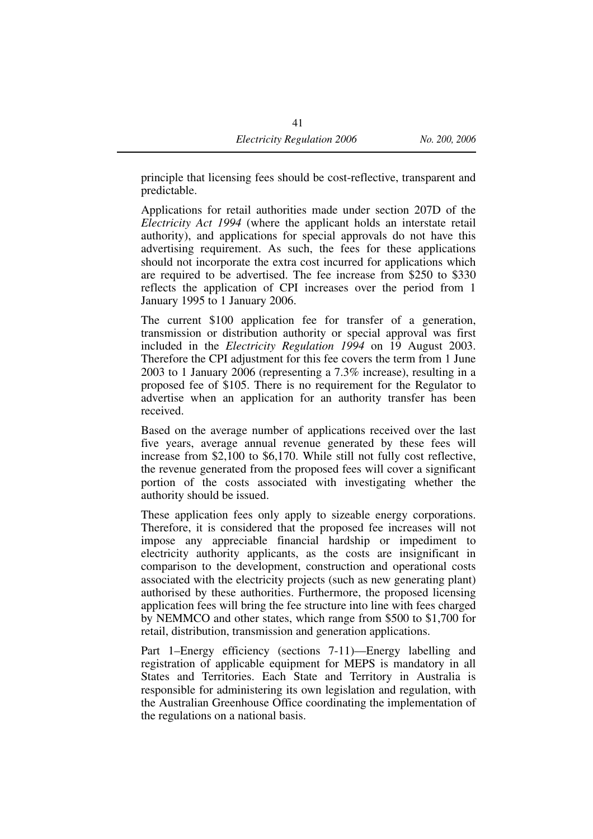principle that licensing fees should be cost-reflective, transparent and predictable.

Applications for retail authorities made under section 207D of the *Electricity Act 1994* (where the applicant holds an interstate retail authority), and applications for special approvals do not have this advertising requirement. As such, the fees for these applications should not incorporate the extra cost incurred for applications which are required to be advertised. The fee increase from \$250 to \$330 reflects the application of CPI increases over the period from 1 January 1995 to 1 January 2006.

The current \$100 application fee for transfer of a generation, transmission or distribution authority or special approval was first included in the *Electricity Regulation 1994* on 19 August 2003. Therefore the CPI adjustment for this fee covers the term from 1 June 2003 to 1 January 2006 (representing a 7.3% increase), resulting in a proposed fee of \$105. There is no requirement for the Regulator to advertise when an application for an authority transfer has been received.

Based on the average number of applications received over the last five years, average annual revenue generated by these fees will increase from \$2,100 to \$6,170. While still not fully cost reflective, the revenue generated from the proposed fees will cover a significant portion of the costs associated with investigating whether the authority should be issued.

These application fees only apply to sizeable energy corporations. Therefore, it is considered that the proposed fee increases will not impose any appreciable financial hardship or impediment to electricity authority applicants, as the costs are insignificant in comparison to the development, construction and operational costs associated with the electricity projects (such as new generating plant) authorised by these authorities. Furthermore, the proposed licensing application fees will bring the fee structure into line with fees charged by NEMMCO and other states, which range from \$500 to \$1,700 for retail, distribution, transmission and generation applications.

Part 1–Energy efficiency (sections 7-11)—Energy labelling and registration of applicable equipment for MEPS is mandatory in all States and Territories. Each State and Territory in Australia is responsible for administering its own legislation and regulation, with the Australian Greenhouse Office coordinating the implementation of the regulations on a national basis.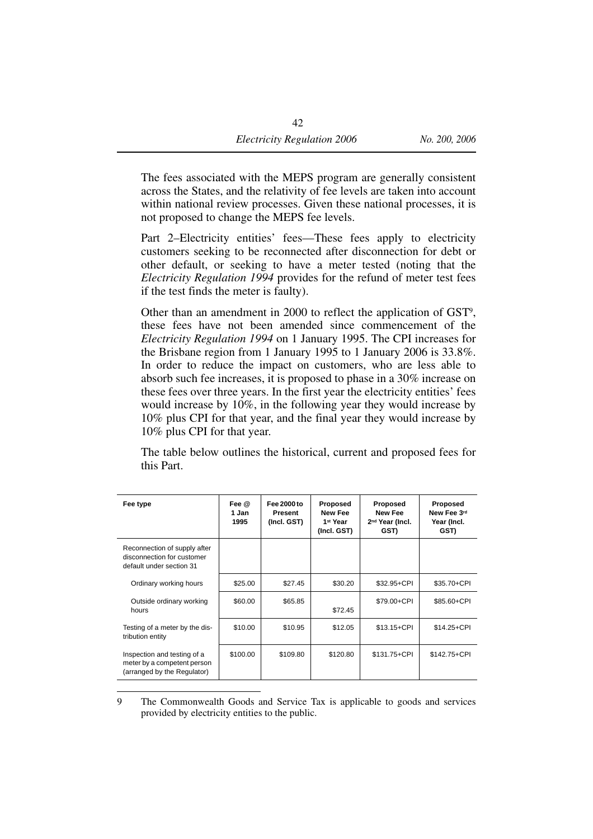The fees associated with the MEPS program are generally consistent across the States, and the relativity of fee levels are taken into account within national review processes. Given these national processes, it is not proposed to change the MEPS fee levels.

Part 2–Electricity entities' fees—These fees apply to electricity customers seeking to be reconnected after disconnection for debt or other default, or seeking to have a meter tested (noting that the *Electricity Regulation 1994* provides for the refund of meter test fees if the test finds the meter is faulty).

Other than an amendment in 2000 to reflect the application of GST9, these fees have not been amended since commencement of the *Electricity Regulation 1994* on 1 January 1995. The CPI increases for the Brisbane region from 1 January 1995 to 1 January 2006 is 33.8%. In order to reduce the impact on customers, who are less able to absorb such fee increases, it is proposed to phase in a 30% increase on these fees over three years. In the first year the electricity entities' fees would increase by 10%, in the following year they would increase by 10% plus CPI for that year, and the final year they would increase by 10% plus CPI for that year.

The table below outlines the historical, current and proposed fees for this Part.

| Fee type                                                                                  | Fee $@$<br>1 Jan<br>1995 | Fee 2000 to<br><b>Present</b><br>(Incl. GST) | Proposed<br>New Fee<br>1st Year<br>(Incl. GST) | Proposed<br><b>New Fee</b><br>2 <sup>nd</sup> Year (Incl.<br>GST) | <b>Proposed</b><br>New Fee 3rd<br>Year (Incl.<br>GST) |
|-------------------------------------------------------------------------------------------|--------------------------|----------------------------------------------|------------------------------------------------|-------------------------------------------------------------------|-------------------------------------------------------|
| Reconnection of supply after<br>disconnection for customer<br>default under section 31    |                          |                                              |                                                |                                                                   |                                                       |
| Ordinary working hours                                                                    | \$25.00                  | \$27.45                                      | \$30.20                                        | \$32.95+CPI                                                       | \$35.70+CPI                                           |
| Outside ordinary working<br>hours                                                         | \$60.00                  | \$65.85                                      | \$72.45                                        | \$79.00+CPI                                                       | \$85.60+CPI                                           |
| Testing of a meter by the dis-<br>tribution entity                                        | \$10.00                  | \$10.95                                      | \$12.05                                        | $$13.15 + CPI$                                                    | $$14.25 + CPI$                                        |
| Inspection and testing of a<br>meter by a competent person<br>(arranged by the Regulator) | \$100.00                 | \$109.80                                     | \$120.80                                       | \$131.75+CPI                                                      | \$142.75+CPI                                          |

<sup>9</sup> The Commonwealth Goods and Service Tax is applicable to goods and services provided by electricity entities to the public.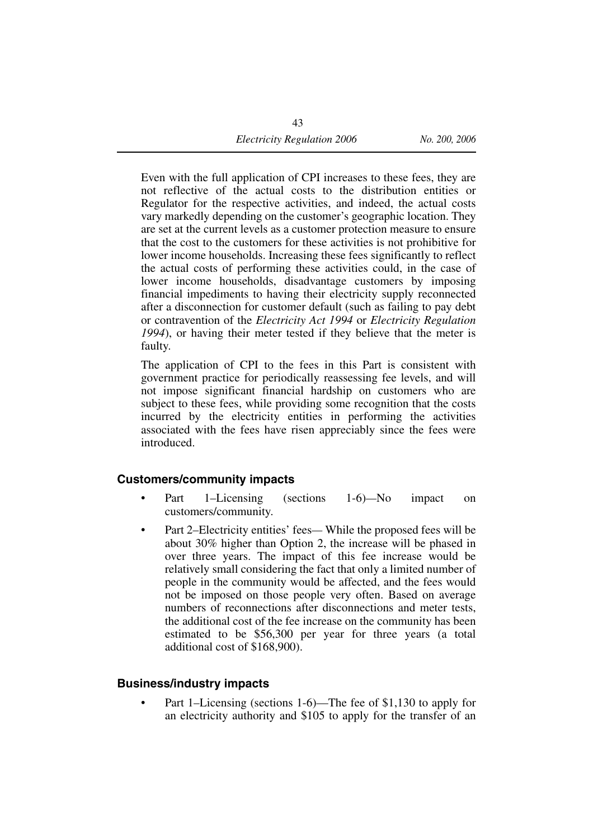Even with the full application of CPI increases to these fees, they are not reflective of the actual costs to the distribution entities or Regulator for the respective activities, and indeed, the actual costs vary markedly depending on the customer's geographic location. They are set at the current levels as a customer protection measure to ensure that the cost to the customers for these activities is not prohibitive for lower income households. Increasing these fees significantly to reflect the actual costs of performing these activities could, in the case of lower income households, disadvantage customers by imposing financial impediments to having their electricity supply reconnected after a disconnection for customer default (such as failing to pay debt or contravention of the *Electricity Act 1994* or *Electricity Regulation 1994*), or having their meter tested if they believe that the meter is faulty.

The application of CPI to the fees in this Part is consistent with government practice for periodically reassessing fee levels, and will not impose significant financial hardship on customers who are subject to these fees, while providing some recognition that the costs incurred by the electricity entities in performing the activities associated with the fees have risen appreciably since the fees were introduced.

#### **Customers/community impacts**

- Part 1–Licensing (sections 1-6)*—*No impact on customers/community.
- Part 2–Electricity entities' feesWhile the proposed fees will be about 30% higher than Option 2, the increase will be phased in over three years. The impact of this fee increase would be relatively small considering the fact that only a limited number of people in the community would be affected, and the fees would not be imposed on those people very often. Based on average numbers of reconnections after disconnections and meter tests, the additional cost of the fee increase on the community has been estimated to be \$56,300 per year for three years (a total additional cost of \$168,900).

#### **Business/industry impacts**

Part 1–Licensing (sections 1-6)—The fee of \$1,130 to apply for an electricity authority and \$105 to apply for the transfer of an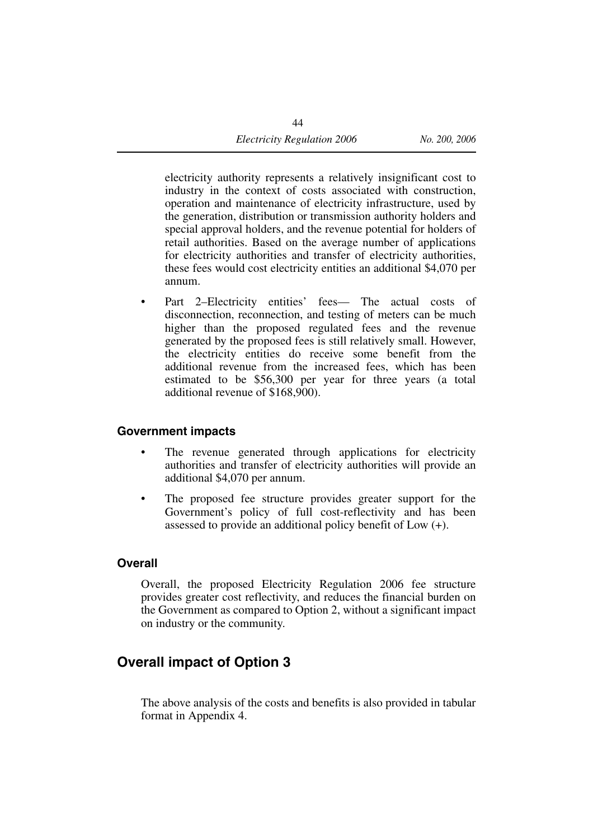electricity authority represents a relatively insignificant cost to industry in the context of costs associated with construction, operation and maintenance of electricity infrastructure, used by the generation, distribution or transmission authority holders and special approval holders, and the revenue potential for holders of retail authorities. Based on the average number of applications for electricity authorities and transfer of electricity authorities, these fees would cost electricity entities an additional \$4,070 per annum.

Part 2–Electricity entities' fees— The actual costs of disconnection, reconnection, and testing of meters can be much higher than the proposed regulated fees and the revenue generated by the proposed fees is still relatively small. However, the electricity entities do receive some benefit from the additional revenue from the increased fees, which has been estimated to be \$56,300 per year for three years (a total additional revenue of \$168,900).

#### **Government impacts**

- The revenue generated through applications for electricity authorities and transfer of electricity authorities will provide an additional \$4,070 per annum.
- The proposed fee structure provides greater support for the Government's policy of full cost-reflectivity and has been assessed to provide an additional policy benefit of Low (+).

#### **Overall**

Overall, the proposed Electricity Regulation 2006 fee structure provides greater cost reflectivity, and reduces the financial burden on the Government as compared to Option 2, without a significant impact on industry or the community.

### **Overall impact of Option 3**

The above analysis of the costs and benefits is also provided in tabular format in Appendix 4.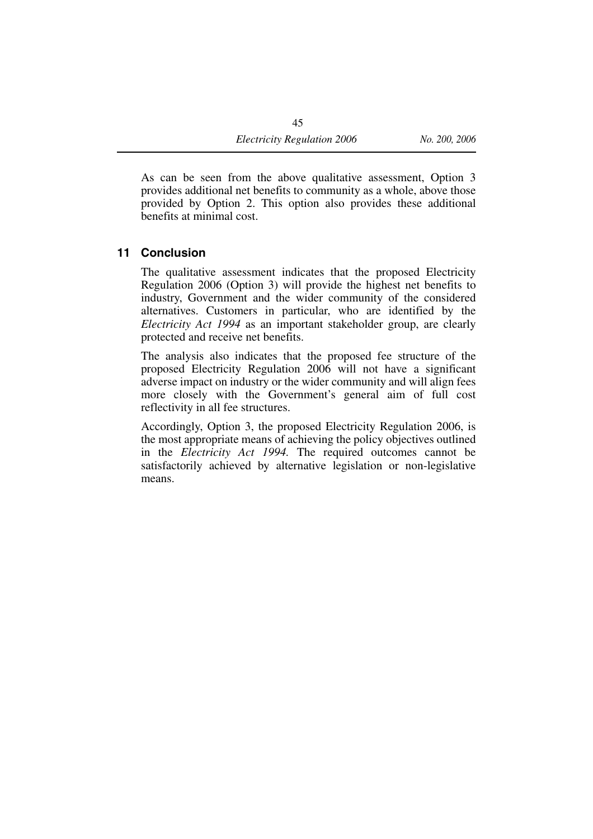As can be seen from the above qualitative assessment, Option 3 provides additional net benefits to community as a whole, above those provided by Option 2. This option also provides these additional benefits at minimal cost.

#### **11 Conclusion**

The qualitative assessment indicates that the proposed Electricity Regulation 2006 (Option 3) will provide the highest net benefits to industry, Government and the wider community of the considered alternatives. Customers in particular, who are identified by the *Electricity Act 1994* as an important stakeholder group, are clearly protected and receive net benefits.

The analysis also indicates that the proposed fee structure of the proposed Electricity Regulation 2006 will not have a significant adverse impact on industry or the wider community and will align fees more closely with the Government's general aim of full cost reflectivity in all fee structures.

Accordingly, Option 3, the proposed Electricity Regulation 2006, is the most appropriate means of achieving the policy objectives outlined in the *Electricity Act 1994.* The required outcomes cannot be satisfactorily achieved by alternative legislation or non-legislative means.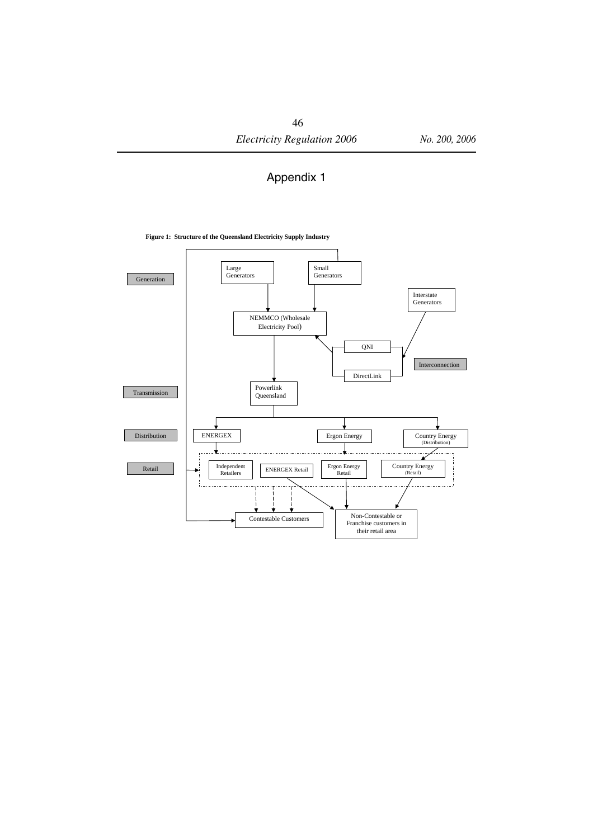#### Appendix 1

#### **Figure 1: Structure of the Queensland Electricity Supply Industry**

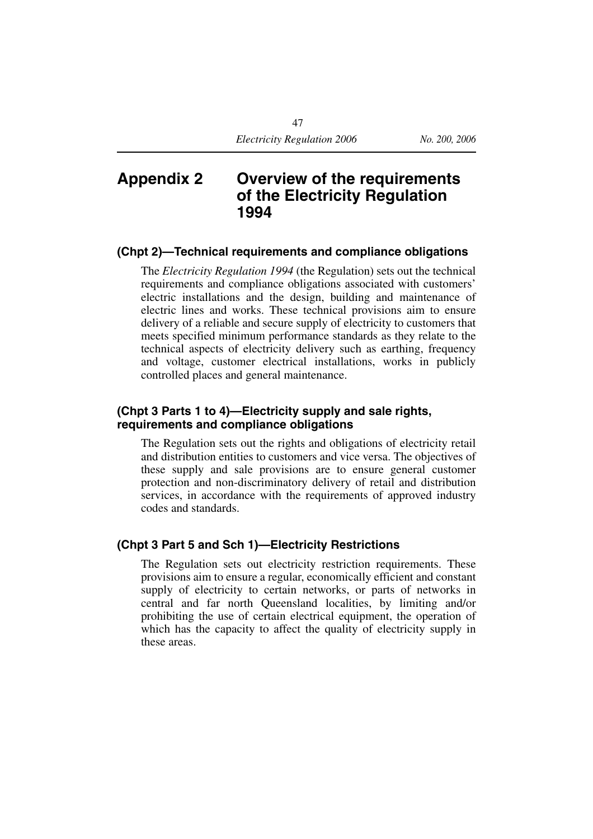### **Appendix 2 Overview of the requirements of the Electricity Regulation 1994**

#### **(Chpt 2)—Technical requirements and compliance obligations**

The *Electricity Regulation 1994* (the Regulation) sets out the technical requirements and compliance obligations associated with customers' electric installations and the design, building and maintenance of electric lines and works. These technical provisions aim to ensure delivery of a reliable and secure supply of electricity to customers that meets specified minimum performance standards as they relate to the technical aspects of electricity delivery such as earthing, frequency and voltage, customer electrical installations, works in publicly controlled places and general maintenance.

#### **(Chpt 3 Parts 1 to 4)—Electricity supply and sale rights, requirements and compliance obligations**

The Regulation sets out the rights and obligations of electricity retail and distribution entities to customers and vice versa. The objectives of these supply and sale provisions are to ensure general customer protection and non-discriminatory delivery of retail and distribution services, in accordance with the requirements of approved industry codes and standards.

#### **(Chpt 3 Part 5 and Sch 1)—Electricity Restrictions**

The Regulation sets out electricity restriction requirements. These provisions aim to ensure a regular, economically efficient and constant supply of electricity to certain networks, or parts of networks in central and far north Queensland localities, by limiting and/or prohibiting the use of certain electrical equipment, the operation of which has the capacity to affect the quality of electricity supply in these areas.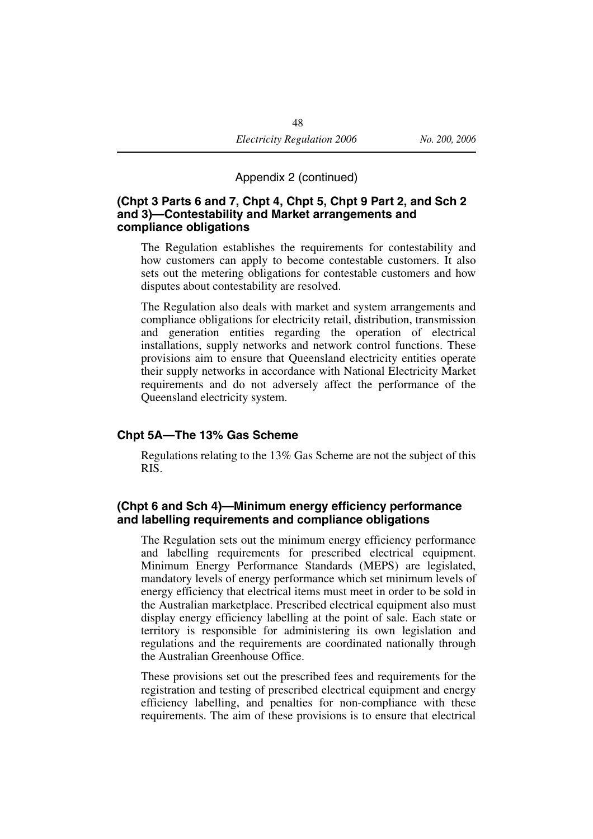Appendix 2 (continued)

#### **(Chpt 3 Parts 6 and 7, Chpt 4, Chpt 5, Chpt 9 Part 2, and Sch 2 and 3)—Contestability and Market arrangements and compliance obligations**

The Regulation establishes the requirements for contestability and how customers can apply to become contestable customers. It also sets out the metering obligations for contestable customers and how disputes about contestability are resolved.

The Regulation also deals with market and system arrangements and compliance obligations for electricity retail, distribution, transmission and generation entities regarding the operation of electrical installations, supply networks and network control functions. These provisions aim to ensure that Queensland electricity entities operate their supply networks in accordance with National Electricity Market requirements and do not adversely affect the performance of the Queensland electricity system.

#### **Chpt 5A—The 13% Gas Scheme**

Regulations relating to the 13% Gas Scheme are not the subject of this RIS.

#### **(Chpt 6 and Sch 4)—Minimum energy efficiency performance and labelling requirements and compliance obligations**

The Regulation sets out the minimum energy efficiency performance and labelling requirements for prescribed electrical equipment. Minimum Energy Performance Standards (MEPS) are legislated, mandatory levels of energy performance which set minimum levels of energy efficiency that electrical items must meet in order to be sold in the Australian marketplace. Prescribed electrical equipment also must display energy efficiency labelling at the point of sale. Each state or territory is responsible for administering its own legislation and regulations and the requirements are coordinated nationally through the Australian Greenhouse Office.

These provisions set out the prescribed fees and requirements for the registration and testing of prescribed electrical equipment and energy efficiency labelling, and penalties for non-compliance with these requirements. The aim of these provisions is to ensure that electrical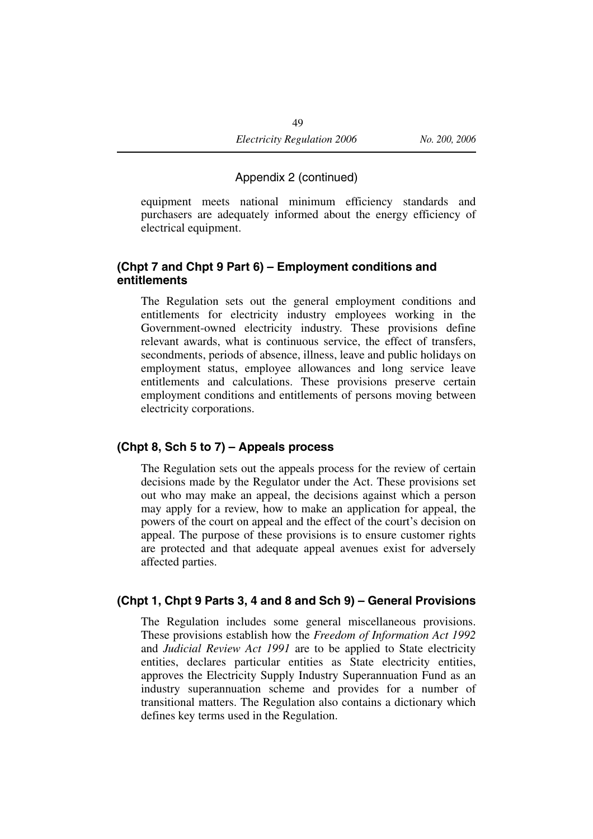#### Appendix 2 (continued)

equipment meets national minimum efficiency standards and purchasers are adequately informed about the energy efficiency of electrical equipment.

#### **(Chpt 7 and Chpt 9 Part 6) – Employment conditions and entitlements**

The Regulation sets out the general employment conditions and entitlements for electricity industry employees working in the Government-owned electricity industry. These provisions define relevant awards, what is continuous service, the effect of transfers, secondments, periods of absence, illness, leave and public holidays on employment status, employee allowances and long service leave entitlements and calculations. These provisions preserve certain employment conditions and entitlements of persons moving between electricity corporations.

#### **(Chpt 8, Sch 5 to 7) – Appeals process**

The Regulation sets out the appeals process for the review of certain decisions made by the Regulator under the Act. These provisions set out who may make an appeal, the decisions against which a person may apply for a review, how to make an application for appeal, the powers of the court on appeal and the effect of the court's decision on appeal. The purpose of these provisions is to ensure customer rights are protected and that adequate appeal avenues exist for adversely affected parties.

#### **(Chpt 1, Chpt 9 Parts 3, 4 and 8 and Sch 9) – General Provisions**

The Regulation includes some general miscellaneous provisions. These provisions establish how the *Freedom of Information Act 1992* and *Judicial Review Act 1991* are to be applied to State electricity entities, declares particular entities as State electricity entities, approves the Electricity Supply Industry Superannuation Fund as an industry superannuation scheme and provides for a number of transitional matters. The Regulation also contains a dictionary which defines key terms used in the Regulation.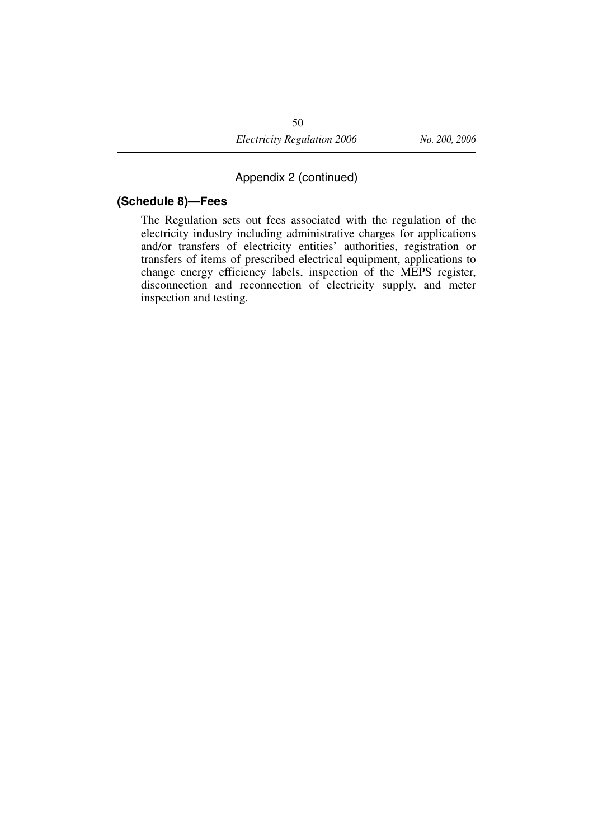#### Appendix 2 (continued)

#### **(Schedule 8)—Fees**

The Regulation sets out fees associated with the regulation of the electricity industry including administrative charges for applications and/or transfers of electricity entities' authorities, registration or transfers of items of prescribed electrical equipment, applications to change energy efficiency labels, inspection of the MEPS register, disconnection and reconnection of electricity supply, and meter inspection and testing.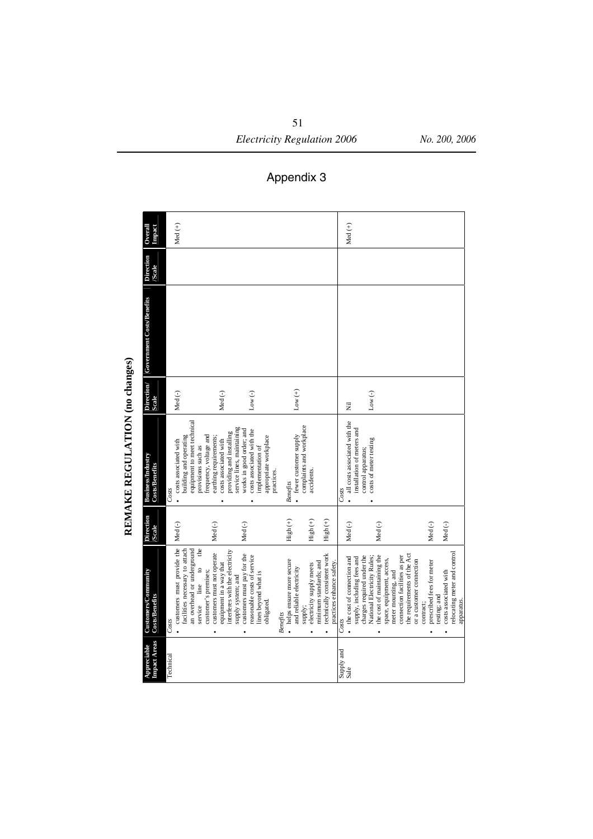Med (+) **Overall Impact**  Med (+) Direction **Government Costs/Benefits Direction /Scale**  Government Costs/Benefits **REMAKE REGULATION (no changes) Scale Direction/** Med (-) Med (-)  $Low (+)$ Low (-) Low (-) Nil equipment to meet technical equipment to meet technical all costs associated with the all costs associated with the fewer customer supply<br>complaints and workplace complaints and workplace service lines, maintaining installation of meters and service lines, maintaining works in good order; and works in good order; and installation of meters and costs associated with the costs associated with the providing and installing providing and installing frequency, voltage and building and operating building and operating frequency, voltage and earthing requirements; earthing requirements; appropriate workplace appropriate workplace fewer customer supply control apparatus;<br>costs of meter testing costs associated with costs associated with costs of meter testing costs associated with costs associated with provisions such as implementation of provisions such as implementation of control apparatus; **Business/Industry Business/Industry**<br>Costs/Benefits **Costs/Benefits**  accidents. practices. accidents. *Benefits Costs Costs*  $\ddot{\phantom{0}}$  $\ddot{\phantom{0}}$  $\ddot{\phantom{a}}$  $\bullet$ xDirection **Direction** High (+) High (+) High (+) Med (-) Med (-) Med (-) Med (-) Med (-) Med (-) Med (-) **/Scale**  • customers must provide the customers must provide the facilities necessary to attach an overhead or underground the service line to the facilities necessary to attach an overhead or underground equipment in a way that<br>interferes with the electricity interferes with the electricity relocating meter and control customers must not operate relocating meter and control customers must not operate customers must pay for the technically consistent work the requirements of the Act the requirements of the Act customers must pay for the reasonable costs of service technically consistent work reasonable costs of service the cost of connection and supply, including fees and charges required under the charges required under the National Electricity Rules; National Electricity Rules; the cost of maintaining the the cost of maintaining the connection facilities as per connection facilities as per • the cost of connection and supply, including fees and space, equipment, access, space, equipment, access, · helps ensure more secure helps ensure more secure practices enhance safety. or a customer connection prescribed fees for meter minimum standards; and minimum standards; and or a customer connection prescribed fees for meter equipment in a way that supply;<br>electricity supply meets electricity supply meets practices enhance safety  $\ddot{\circ}$ and reliable electricity and reliable electricity meter mounting, and **Customers/Community**  customer's premises; customer's premises; costs associated with Customers/Community lines beyond what is meter mounting, and costs associated with lines beyond what is supply system; and supply system; and line **Costs/Benefits**  testing; and testing; and Costs/Benefits apparatus. obligated. apparatus. service contract; contract; *Benefits*   $Costs$ *Costs* Technical *Costs*  $\ddot{\phantom{0}}$  $\ddot{\phantom{0}}$ x**Impact Areas Impact Areas**  Appreciable **Appreciable**  Supply and<br>Sale Supply and Technical

REMAKE REGULATION (no changes)

Appendix 3

51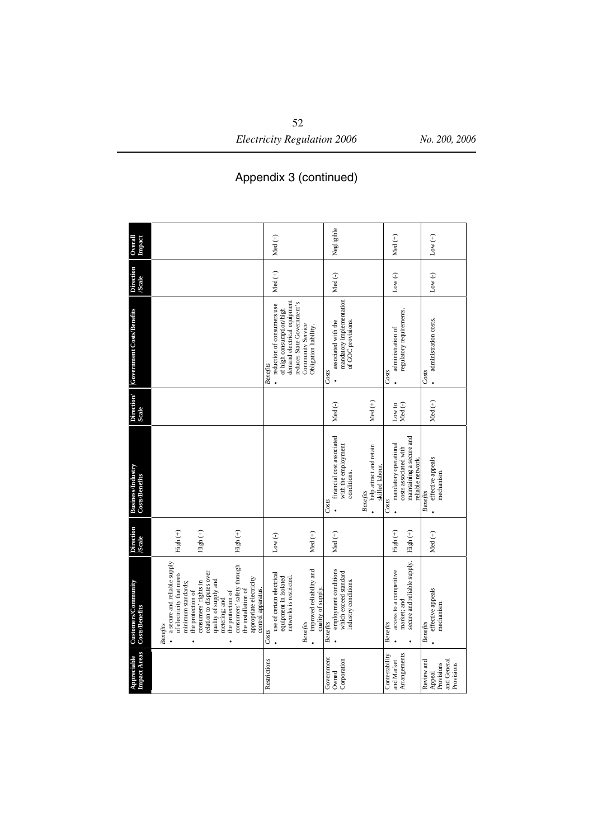*Electricity Regulation 2006 No. 200, 2006*

#### Appendix 3 (continued)

| <b>Impact Areas</b><br>Appreciable                              | Customers/Community<br><b>Costs/Benefits</b>                                                                                                                                                                                                                                                                                                     | <b>Direction</b><br><b>Scale</b>                 | <b>Business/Industry</b><br><b>Costs/Benefits</b>                                                                                         | Direction/<br>Scale | Government Costs/Benefits                                                                                                                                                            | Direction<br><b>Scale</b> | Overall<br>Impact |
|-----------------------------------------------------------------|--------------------------------------------------------------------------------------------------------------------------------------------------------------------------------------------------------------------------------------------------------------------------------------------------------------------------------------------------|--------------------------------------------------|-------------------------------------------------------------------------------------------------------------------------------------------|---------------------|--------------------------------------------------------------------------------------------------------------------------------------------------------------------------------------|---------------------------|-------------------|
|                                                                 | a secure and reliable supply<br>consumers' safety through<br>relation to disputes over<br>of electricity that meets<br>appropriate electricity<br>quality of supply and<br>minimum standards;<br>consumers' rights in<br>control apparatus.<br>the installation of<br>the protection of<br>the protection of<br>metering; and<br><b>Benefits</b> | High (+)<br>High $\left( +\right)$<br>High $(+)$ |                                                                                                                                           |                     |                                                                                                                                                                                      |                           |                   |
| Restrictions                                                    | improved reliability and<br>use of certain electrical<br>equipment in isolated<br>networks is restricted.<br>quality of supply.<br><b>Benefits</b><br>Costs                                                                                                                                                                                      | Med $(+)$<br>Low $(-)$                           |                                                                                                                                           |                     | reduces State Government's<br>demand electrical equipment<br>reduction of consumers use<br>of high consumption/high<br>Community Service<br>Obligation liability.<br><b>Benefits</b> | Med $(+)$                 | Med $(+)$         |
| Government<br>Corporation<br>Owned                              | employment conditions<br>which exceed standard<br>industry conditions.<br><b>Benefits</b>                                                                                                                                                                                                                                                        | Med $(+)$                                        | financial cost associated<br>with the employment<br>help attract and retain<br>skilled labour.<br>conditions.<br><b>Benefits</b><br>Costs | Med $(+)$<br>Med(-) | mandatory implementation<br>associated with the<br>of GOC provisions.<br>Costs                                                                                                       | Med(-)                    | Negligible        |
| Arrangements<br>Contestability<br>and Market                    | secure and reliable supply.<br>access to a competitive<br>market; and<br><b>Benefits</b>                                                                                                                                                                                                                                                         | $High (+)$<br>High $(+)$                         | maintaining a secure and<br>mandatory operational<br>costs associated with<br>reliable network.<br>Costs                                  | Med(-)<br>Low to    | regulatory requirements.<br>administration of<br>Costs                                                                                                                               | $Low(-)$                  | Med $(+)$         |
| and General<br>Review and<br>Provisions<br>Provisions<br>Appeal | effective appeals<br>mechanism.<br><b>Benefits</b>                                                                                                                                                                                                                                                                                               | Med $(+)$                                        | effective appeals<br>mechanism.<br><b>Benefits</b>                                                                                        | Med $(+)$           | administration costs.<br>Costs                                                                                                                                                       | Low $(\textnormal{-})$    | Low $(+)$         |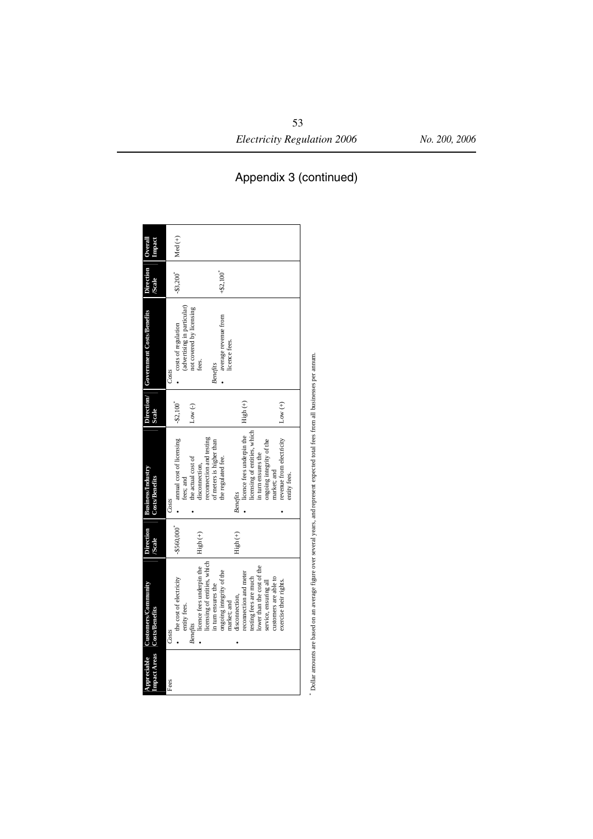| Appreciable | Customers/Community                         | <b>Direction</b>         | <b>Business/Industry</b>                    |           | Direction/ Government Costs/Benefits | Direction Overal       |           |
|-------------|---------------------------------------------|--------------------------|---------------------------------------------|-----------|--------------------------------------|------------------------|-----------|
|             | Impact Areas Costs/Benefits                 | <b>Scale</b>             | <b>Costs/Benefits</b>                       | Scale     |                                      | <b>Scale</b>           | Impact    |
|             |                                             |                          |                                             |           |                                      |                        |           |
| Fees        | Costs                                       |                          | Costs                                       |           | Costs                                |                        |           |
|             | the cost of electricity                     | $-$ \$560.000 $^{\circ}$ | · annual cost of licensing                  | $-$2,100$ | costs of regulation                  | $-33,200$ <sup>*</sup> | Med $(+)$ |
|             | entity fees.                                |                          | fees; and                                   |           | (advertising in particular)          |                        |           |
|             | <b>Benefits</b>                             |                          | the actual cost of                          | Low $(-)$ | not covered by licensing             |                        |           |
|             | licence fees underpin the $\qquad$ High (+) |                          | disconnection,                              |           | fees.                                |                        |           |
|             | licensing of entities, which                |                          | reconnection and testing                    |           |                                      |                        |           |
|             | in turn ensures the                         |                          | of meters is higher than                    |           | <b>Benefits</b>                      |                        |           |
|             | ongoing integrity of the                    |                          | the regulated fee.                          |           | · average revenue from               | $+ $2.100$             |           |
|             | market; and                                 |                          |                                             |           | licence fees.                        |                        |           |
|             | disconnection,                              | High (+)                 | <b>Benefits</b>                             |           |                                      |                        |           |
|             | reconnection and meter                      |                          | licence fees underpin the $\qquad$ High (+) |           |                                      |                        |           |
|             | testing fees are much                       |                          | licensing of entities, which                |           |                                      |                        |           |
|             | lower than the cost of the                  |                          | in turn ensures the                         |           |                                      |                        |           |
|             | service, ensuring all                       |                          | ongoing integrity of the                    |           |                                      |                        |           |
|             | customers are able to                       |                          | market; and                                 |           |                                      |                        |           |
|             | exercise their rights.                      |                          | revenue from electricity                    | Low $(+)$ |                                      |                        |           |
|             |                                             |                          | entity fees.                                |           |                                      |                        |           |
|             |                                             |                          |                                             |           |                                      |                        |           |
|             |                                             |                          |                                             |           |                                      |                        |           |

bollar amounts are based on an average figure over several years, and represent expected total fees from all businesses per amum. Dollar amounts are based on an average figure over several years, and represent expected total fees from all businesses per annum.

# Appendix 3 (continued)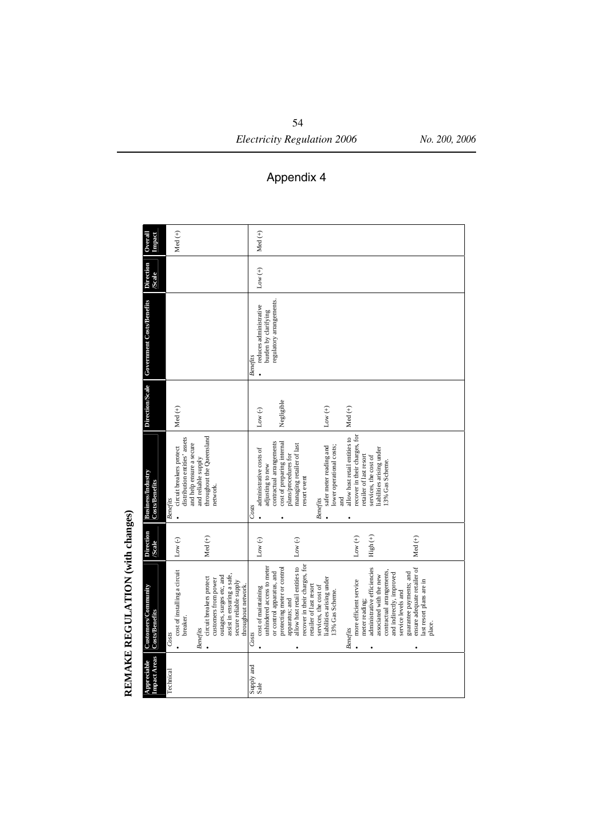| Overall<br>Impact                            | Med $(+)$                                                                                                                                                                                                                           | Med $(+)$                                                                                                                                                                                                                                                                                                                                                                                                                                                                                                                                                                                                             |
|----------------------------------------------|-------------------------------------------------------------------------------------------------------------------------------------------------------------------------------------------------------------------------------------|-----------------------------------------------------------------------------------------------------------------------------------------------------------------------------------------------------------------------------------------------------------------------------------------------------------------------------------------------------------------------------------------------------------------------------------------------------------------------------------------------------------------------------------------------------------------------------------------------------------------------|
| <b>Direction</b><br><b>Scale</b>             |                                                                                                                                                                                                                                     | Low $(+)$                                                                                                                                                                                                                                                                                                                                                                                                                                                                                                                                                                                                             |
| Direction/Scale Government Costs/Benefits    |                                                                                                                                                                                                                                     | regulatory arrangements.<br>reduces administrative<br>burden by clarifying<br><b>Benefits</b>                                                                                                                                                                                                                                                                                                                                                                                                                                                                                                                         |
|                                              | Med $(+)$                                                                                                                                                                                                                           | Negligible<br>Low $(+)$<br>Med $(+)$<br>Low $(-)$                                                                                                                                                                                                                                                                                                                                                                                                                                                                                                                                                                     |
| <b>Business/Industry</b><br>Costs/Benefits   | throughout the Queensland<br>distribution entities' assets<br>and help ensure a secure<br>circuit breakers protect<br>and reliable supply<br>network.<br><b>Benefits</b>                                                            | recover in their charges, for<br>allow host retail entities to<br>contractual arrangements<br>cost of preparing internal<br>managing retailer of last<br>safer meter reading and<br>lower operational costs;<br>liabilities arising under<br>administrative costs of<br>plans/procedures for<br>retailer of last resort<br>services, the cost of<br>13% Gas Scheme.<br>adjusting to new<br>resort event<br>and<br><b>Benefits</b><br>Costs                                                                                                                                                                            |
| <b>Direction</b><br><b>/Scale</b>            | Med $(+)$<br>Low $(\textnormal{-})$                                                                                                                                                                                                 | Low $(+)$<br>$High (+)$<br>Med $(+)$<br>Low $(-)$<br>$Low(-)$                                                                                                                                                                                                                                                                                                                                                                                                                                                                                                                                                         |
| Customers/Community<br><b>Costs/Benefits</b> | cost of installing a circuit<br>assist in ensuring a safe,<br>outages, surges etc, and<br>circuit breakers protect<br>customers from power<br>secure reliable supply<br>throughout network.<br>breaker.<br><b>Benefits</b><br>Costs | allow host retail entities to<br>recover in their charges, for<br>unhindered access to meter<br>ensure adequate retailer of<br>protecting meter or control<br>administrative efficiencies<br>contractual arrangements,<br>or control apparatus, and<br>guarantee payments; and<br>and indirectly, improved<br>associated with the new<br>liabilities arising under<br>ast resort plans are in<br>more efficient service<br>retailer of last resort<br>services, the cost of<br>cost of maintaining<br>13% Gas Scheme.<br>service levels and<br>apparatus; and<br>meter reading;<br>place.<br><b>Benefits</b><br>Costs |
| <b>Impact Areas</b><br>Appreciable           | Technical                                                                                                                                                                                                                           | Supply and<br>Sale                                                                                                                                                                                                                                                                                                                                                                                                                                                                                                                                                                                                    |

REMAKE REGULATION (with changes) **REMAKE REGULATION (with changes)** 

# Appendix 4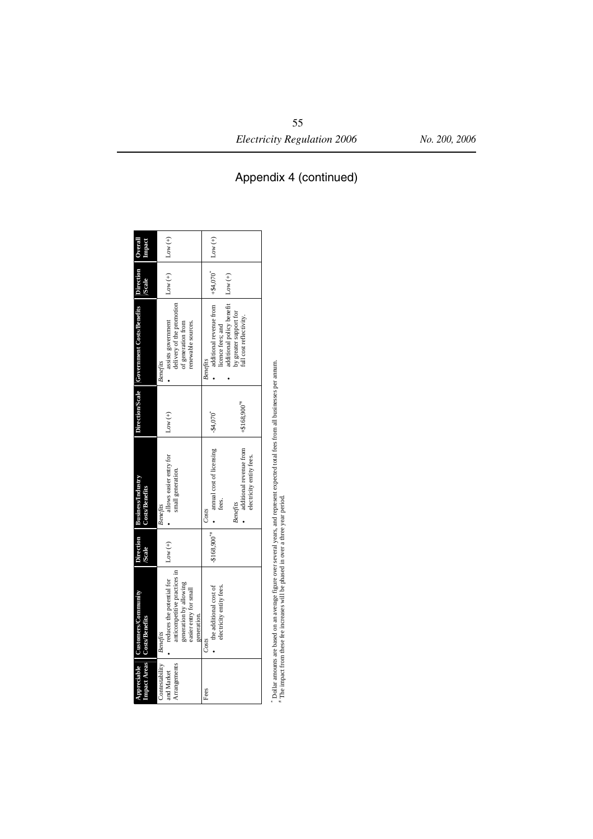|                                                       | Appreciable Customers/Community<br>Impact Areas   Costs/Benefits                                                                             | <b>Direction</b><br><b>Scale</b> | <b>Business/Industry</b><br><b>Costs/Benefits</b>                                            |                            | Direction/Scale Government Costs/Benefits Direction                                                     | <b>Scale</b>        | <b>Electic</b><br>Overall |
|-------------------------------------------------------|----------------------------------------------------------------------------------------------------------------------------------------------|----------------------------------|----------------------------------------------------------------------------------------------|----------------------------|---------------------------------------------------------------------------------------------------------|---------------------|---------------------------|
| Contestability Benefits<br>Arrangements<br>and Market | reduces the potential for $\vert$ Low (+)<br>anticompetitive practices in<br>generation by allowing<br>easier entry for small<br>generation. |                                  | · allows easier entry for<br>small generation.<br><b>Benefits</b>                            | Low $(+)$                  | delivery of the promotion<br>assists government<br>of generation from<br>renewable sources.<br>Benefits | $Low (+)$ $Low (+)$ |                           |
| Fees                                                  | electricity entity fees.<br>the additional cost of<br>Costs                                                                                  |                                  | $-$ \$168.900 <sup>**</sup> $\vert \bullet \vert$ annual cost of licensing<br>tees.<br>Costs | $-84.070$                  | additional revenue from $+$ \$4,070 <sup>*</sup><br>icence fees; and<br><b>Benefits</b>                 |                     | Low $(+)$                 |
|                                                       |                                                                                                                                              |                                  | additional revenue from<br>electricity entity fees.<br><b>Benefits</b>                       | $+ $168.900$ <sup>**</sup> | additional policy benefit   Low (+)<br>y greater support for<br>full cost reflectivity.                 |                     |                           |

\* Dollar amounts are based on an average figure over several years, and represent expected total fees from all businesses per amum.<br>\* The impact from these fee increases will be phased in over a three year period. Dollar amounts are based on an average figure over several years, and represent expected total fees from all businesses per annum.<br># The impact from these fee increases will be phased in over a three year period.

# *Electricity Regulation 2006 No. 200, 2006*

Appendix 4 (continued)